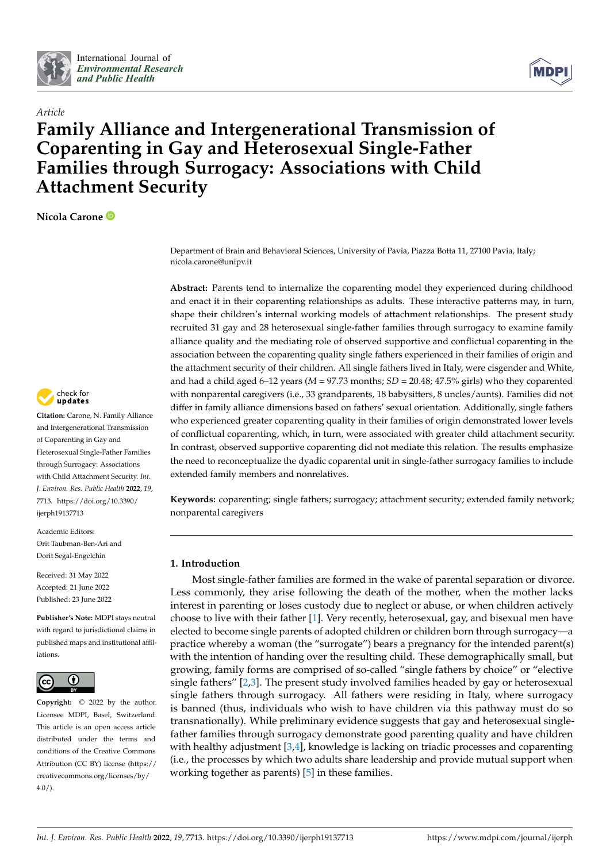



# *Article* **Family Alliance and Intergenerational Transmission of Coparenting in Gay and Heterosexual Single-Father Families through Surrogacy: Associations with Child Attachment Security**

**Nicola Carone**



**Citation:** Carone, N. Family Alliance and Intergenerational Transmission of Coparenting in Gay and Heterosexual Single-Father Families through Surrogacy: Associations with Child Attachment Security. *Int. J. Environ. Res. Public Health* **2022**, *19*, 7713. [https://doi.org/10.3390/](https://doi.org/10.3390/ijerph19137713) [ijerph19137713](https://doi.org/10.3390/ijerph19137713)

Academic Editors: Orit Taubman-Ben-Ari and Dorit Segal-Engelchin

Received: 31 May 2022 Accepted: 21 June 2022 Published: 23 June 2022

**Publisher's Note:** MDPI stays neutral with regard to jurisdictional claims in published maps and institutional affiliations.



**Copyright:** © 2022 by the author. Licensee MDPI, Basel, Switzerland. This article is an open access article distributed under the terms and conditions of the Creative Commons Attribution (CC BY) license [\(https://](https://creativecommons.org/licenses/by/4.0/) [creativecommons.org/licenses/by/](https://creativecommons.org/licenses/by/4.0/)  $4.0/$ ).

Department of Brain and Behavioral Sciences, University of Pavia, Piazza Botta 11, 27100 Pavia, Italy; nicola.carone@unipv.it

**Abstract:** Parents tend to internalize the coparenting model they experienced during childhood and enact it in their coparenting relationships as adults. These interactive patterns may, in turn, shape their children's internal working models of attachment relationships. The present study recruited 31 gay and 28 heterosexual single-father families through surrogacy to examine family alliance quality and the mediating role of observed supportive and conflictual coparenting in the association between the coparenting quality single fathers experienced in their families of origin and the attachment security of their children. All single fathers lived in Italy, were cisgender and White, and had a child aged 6–12 years ( $M = 97.73$  months;  $SD = 20.48$ ;  $47.5\%$  girls) who they coparented with nonparental caregivers (i.e., 33 grandparents, 18 babysitters, 8 uncles/aunts). Families did not differ in family alliance dimensions based on fathers' sexual orientation. Additionally, single fathers who experienced greater coparenting quality in their families of origin demonstrated lower levels of conflictual coparenting, which, in turn, were associated with greater child attachment security. In contrast, observed supportive coparenting did not mediate this relation. The results emphasize the need to reconceptualize the dyadic coparental unit in single-father surrogacy families to include extended family members and nonrelatives.

**Keywords:** coparenting; single fathers; surrogacy; attachment security; extended family network; nonparental caregivers

# **1. Introduction**

Most single-father families are formed in the wake of parental separation or divorce. Less commonly, they arise following the death of the mother, when the mother lacks interest in parenting or loses custody due to neglect or abuse, or when children actively choose to live with their father [\[1\]](#page-14-0). Very recently, heterosexual, gay, and bisexual men have elected to become single parents of adopted children or children born through surrogacy—a practice whereby a woman (the "surrogate") bears a pregnancy for the intended parent(s) with the intention of handing over the resulting child. These demographically small, but growing, family forms are comprised of so-called "single fathers by choice" or "elective single fathers" [\[2](#page-14-1)[,3\]](#page-14-2). The present study involved families headed by gay or heterosexual single fathers through surrogacy. All fathers were residing in Italy, where surrogacy is banned (thus, individuals who wish to have children via this pathway must do so transnationally). While preliminary evidence suggests that gay and heterosexual singlefather families through surrogacy demonstrate good parenting quality and have children with healthy adjustment [\[3,](#page-14-2)[4\]](#page-14-3), knowledge is lacking on triadic processes and coparenting (i.e., the processes by which two adults share leadership and provide mutual support when working together as parents) [\[5\]](#page-14-4) in these families.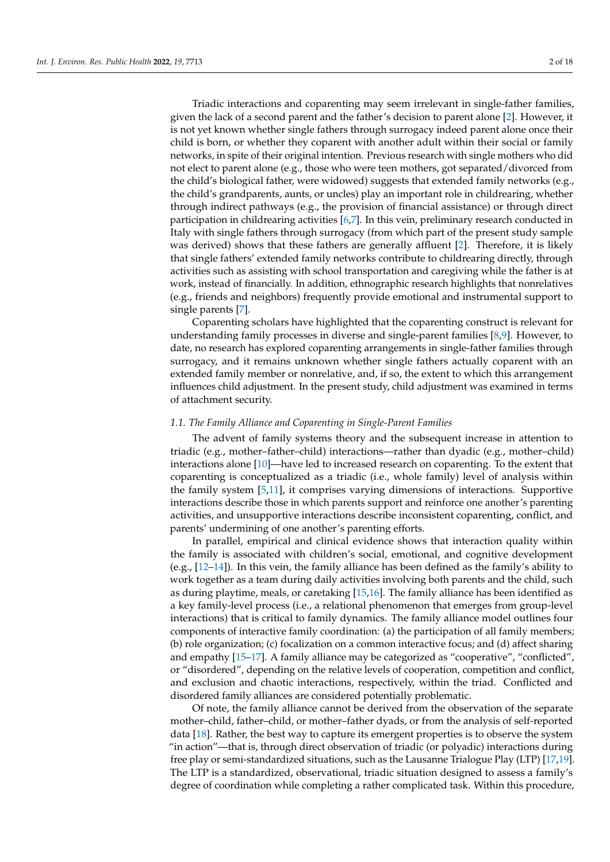Triadic interactions and coparenting may seem irrelevant in single-father families, given the lack of a second parent and the father's decision to parent alone [\[2\]](#page-14-1). However, it is not yet known whether single fathers through surrogacy indeed parent alone once their child is born, or whether they coparent with another adult within their social or family networks, in spite of their original intention. Previous research with single mothers who did not elect to parent alone (e.g., those who were teen mothers, got separated/divorced from the child's biological father, were widowed) suggests that extended family networks (e.g., the child's grandparents, aunts, or uncles) play an important role in childrearing, whether through indirect pathways (e.g., the provision of financial assistance) or through direct participation in childrearing activities [\[6](#page-14-5)[,7\]](#page-14-6). In this vein, preliminary research conducted in Italy with single fathers through surrogacy (from which part of the present study sample was derived) shows that these fathers are generally affluent [\[2\]](#page-14-1). Therefore, it is likely that single fathers' extended family networks contribute to childrearing directly, through activities such as assisting with school transportation and caregiving while the father is at work, instead of financially. In addition, ethnographic research highlights that nonrelatives (e.g., friends and neighbors) frequently provide emotional and instrumental support to single parents [\[7\]](#page-14-6).

Coparenting scholars have highlighted that the coparenting construct is relevant for understanding family processes in diverse and single-parent families [\[8](#page-14-7)[,9\]](#page-14-8). However, to date, no research has explored coparenting arrangements in single-father families through surrogacy, and it remains unknown whether single fathers actually coparent with an extended family member or nonrelative, and, if so, the extent to which this arrangement influences child adjustment. In the present study, child adjustment was examined in terms of attachment security.

# *1.1. The Family Alliance and Coparenting in Single-Parent Families*

The advent of family systems theory and the subsequent increase in attention to triadic (e.g., mother–father–child) interactions—rather than dyadic (e.g., mother–child) interactions alone [\[10\]](#page-14-9)—have led to increased research on coparenting. To the extent that coparenting is conceptualized as a triadic (i.e., whole family) level of analysis within the family system [\[5](#page-14-4)[,11\]](#page-14-10), it comprises varying dimensions of interactions. Supportive interactions describe those in which parents support and reinforce one another's parenting activities, and unsupportive interactions describe inconsistent coparenting, conflict, and parents' undermining of one another's parenting efforts.

In parallel, empirical and clinical evidence shows that interaction quality within the family is associated with children's social, emotional, and cognitive development (e.g., [\[12–](#page-14-11)[14\]](#page-14-12)). In this vein, the family alliance has been defined as the family's ability to work together as a team during daily activities involving both parents and the child, such as during playtime, meals, or caretaking [\[15](#page-14-13)[,16\]](#page-14-14). The family alliance has been identified as a key family-level process (i.e., a relational phenomenon that emerges from group-level interactions) that is critical to family dynamics. The family alliance model outlines four components of interactive family coordination: (a) the participation of all family members; (b) role organization; (c) focalization on a common interactive focus; and (d) affect sharing and empathy [\[15](#page-14-13)[–17\]](#page-14-15). A family alliance may be categorized as "cooperative", "conflicted", or "disordered", depending on the relative levels of cooperation, competition and conflict, and exclusion and chaotic interactions, respectively, within the triad. Conflicted and disordered family alliances are considered potentially problematic.

Of note, the family alliance cannot be derived from the observation of the separate mother–child, father–child, or mother–father dyads, or from the analysis of self-reported data [\[18\]](#page-15-0). Rather, the best way to capture its emergent properties is to observe the system "in action"—that is, through direct observation of triadic (or polyadic) interactions during free play or semi-standardized situations, such as the Lausanne Trialogue Play (LTP) [\[17](#page-14-15)[,19\]](#page-15-1). The LTP is a standardized, observational, triadic situation designed to assess a family's degree of coordination while completing a rather complicated task. Within this procedure,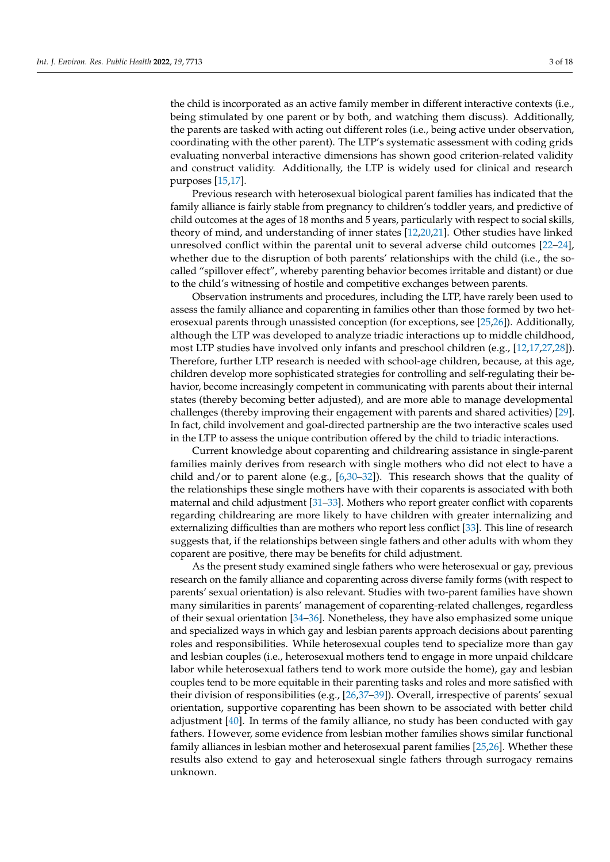the child is incorporated as an active family member in different interactive contexts (i.e., being stimulated by one parent or by both, and watching them discuss). Additionally, the parents are tasked with acting out different roles (i.e., being active under observation, coordinating with the other parent). The LTP's systematic assessment with coding grids evaluating nonverbal interactive dimensions has shown good criterion-related validity and construct validity. Additionally, the LTP is widely used for clinical and research purposes [\[15](#page-14-13)[,17\]](#page-14-15).

Previous research with heterosexual biological parent families has indicated that the family alliance is fairly stable from pregnancy to children's toddler years, and predictive of child outcomes at the ages of 18 months and 5 years, particularly with respect to social skills, theory of mind, and understanding of inner states [\[12,](#page-14-11)[20](#page-15-2)[,21\]](#page-15-3). Other studies have linked unresolved conflict within the parental unit to several adverse child outcomes [\[22–](#page-15-4)[24\]](#page-15-5), whether due to the disruption of both parents' relationships with the child (i.e., the socalled "spillover effect", whereby parenting behavior becomes irritable and distant) or due to the child's witnessing of hostile and competitive exchanges between parents.

Observation instruments and procedures, including the LTP, have rarely been used to assess the family alliance and coparenting in families other than those formed by two heterosexual parents through unassisted conception (for exceptions, see [\[25,](#page-15-6)[26\]](#page-15-7)). Additionally, although the LTP was developed to analyze triadic interactions up to middle childhood, most LTP studies have involved only infants and preschool children (e.g., [\[12,](#page-14-11)[17,](#page-14-15)[27](#page-15-8)[,28\]](#page-15-9)). Therefore, further LTP research is needed with school-age children, because, at this age, children develop more sophisticated strategies for controlling and self-regulating their behavior, become increasingly competent in communicating with parents about their internal states (thereby becoming better adjusted), and are more able to manage developmental challenges (thereby improving their engagement with parents and shared activities) [\[29\]](#page-15-10). In fact, child involvement and goal-directed partnership are the two interactive scales used in the LTP to assess the unique contribution offered by the child to triadic interactions.

Current knowledge about coparenting and childrearing assistance in single-parent families mainly derives from research with single mothers who did not elect to have a child and/or to parent alone (e.g., [\[6,](#page-14-5)[30–](#page-15-11)[32\]](#page-15-12)). This research shows that the quality of the relationships these single mothers have with their coparents is associated with both maternal and child adjustment [\[31–](#page-15-13)[33\]](#page-15-14). Mothers who report greater conflict with coparents regarding childrearing are more likely to have children with greater internalizing and externalizing difficulties than are mothers who report less conflict [\[33\]](#page-15-14). This line of research suggests that, if the relationships between single fathers and other adults with whom they coparent are positive, there may be benefits for child adjustment.

As the present study examined single fathers who were heterosexual or gay, previous research on the family alliance and coparenting across diverse family forms (with respect to parents' sexual orientation) is also relevant. Studies with two-parent families have shown many similarities in parents' management of coparenting-related challenges, regardless of their sexual orientation [\[34](#page-15-15)[–36\]](#page-15-16). Nonetheless, they have also emphasized some unique and specialized ways in which gay and lesbian parents approach decisions about parenting roles and responsibilities. While heterosexual couples tend to specialize more than gay and lesbian couples (i.e., heterosexual mothers tend to engage in more unpaid childcare labor while heterosexual fathers tend to work more outside the home), gay and lesbian couples tend to be more equitable in their parenting tasks and roles and more satisfied with their division of responsibilities (e.g., [\[26,](#page-15-7)[37](#page-15-17)[–39\]](#page-15-18)). Overall, irrespective of parents' sexual orientation, supportive coparenting has been shown to be associated with better child adjustment [\[40\]](#page-15-19). In terms of the family alliance, no study has been conducted with gay fathers. However, some evidence from lesbian mother families shows similar functional family alliances in lesbian mother and heterosexual parent families [\[25,](#page-15-6)[26\]](#page-15-7). Whether these results also extend to gay and heterosexual single fathers through surrogacy remains unknown.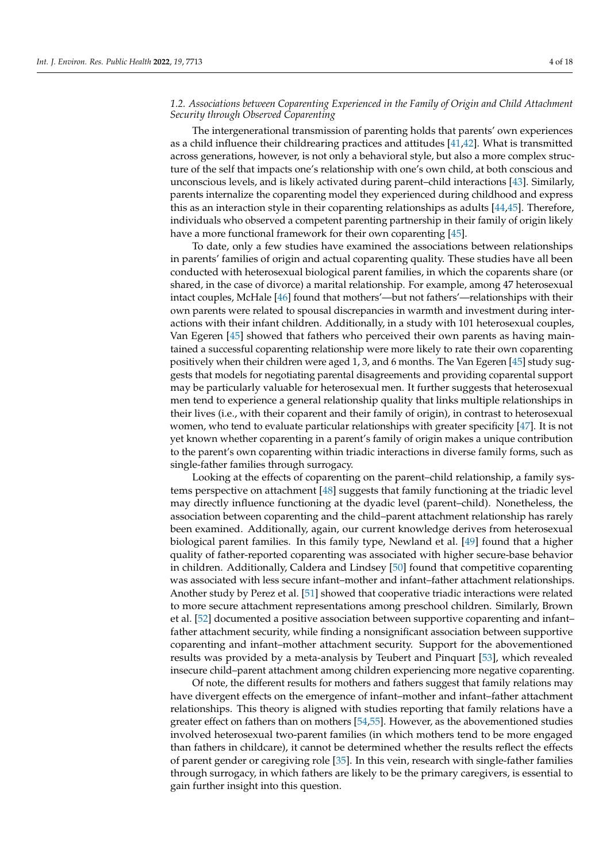## *1.2. Associations between Coparenting Experienced in the Family of Origin and Child Attachment Security through Observed Coparenting*

The intergenerational transmission of parenting holds that parents' own experiences as a child influence their childrearing practices and attitudes [\[41](#page-15-20)[,42\]](#page-15-21). What is transmitted across generations, however, is not only a behavioral style, but also a more complex structure of the self that impacts one's relationship with one's own child, at both conscious and unconscious levels, and is likely activated during parent–child interactions [\[43\]](#page-15-22). Similarly, parents internalize the coparenting model they experienced during childhood and express this as an interaction style in their coparenting relationships as adults [\[44,](#page-15-23)[45\]](#page-15-24). Therefore, individuals who observed a competent parenting partnership in their family of origin likely have a more functional framework for their own coparenting [\[45\]](#page-15-24).

To date, only a few studies have examined the associations between relationships in parents' families of origin and actual coparenting quality. These studies have all been conducted with heterosexual biological parent families, in which the coparents share (or shared, in the case of divorce) a marital relationship. For example, among 47 heterosexual intact couples, McHale [\[46\]](#page-15-25) found that mothers'—but not fathers'—relationships with their own parents were related to spousal discrepancies in warmth and investment during interactions with their infant children. Additionally, in a study with 101 heterosexual couples, Van Egeren [\[45\]](#page-15-24) showed that fathers who perceived their own parents as having maintained a successful coparenting relationship were more likely to rate their own coparenting positively when their children were aged 1, 3, and 6 months. The Van Egeren [\[45\]](#page-15-24) study suggests that models for negotiating parental disagreements and providing coparental support may be particularly valuable for heterosexual men. It further suggests that heterosexual men tend to experience a general relationship quality that links multiple relationships in their lives (i.e., with their coparent and their family of origin), in contrast to heterosexual women, who tend to evaluate particular relationships with greater specificity [\[47\]](#page-16-0). It is not yet known whether coparenting in a parent's family of origin makes a unique contribution to the parent's own coparenting within triadic interactions in diverse family forms, such as single-father families through surrogacy.

Looking at the effects of coparenting on the parent–child relationship, a family systems perspective on attachment [\[48\]](#page-16-1) suggests that family functioning at the triadic level may directly influence functioning at the dyadic level (parent–child). Nonetheless, the association between coparenting and the child–parent attachment relationship has rarely been examined. Additionally, again, our current knowledge derives from heterosexual biological parent families. In this family type, Newland et al. [\[49\]](#page-16-2) found that a higher quality of father-reported coparenting was associated with higher secure-base behavior in children. Additionally, Caldera and Lindsey [\[50\]](#page-16-3) found that competitive coparenting was associated with less secure infant–mother and infant–father attachment relationships. Another study by Perez et al. [\[51\]](#page-16-4) showed that cooperative triadic interactions were related to more secure attachment representations among preschool children. Similarly, Brown et al. [\[52\]](#page-16-5) documented a positive association between supportive coparenting and infant– father attachment security, while finding a nonsignificant association between supportive coparenting and infant–mother attachment security. Support for the abovementioned results was provided by a meta-analysis by Teubert and Pinquart [\[53\]](#page-16-6), which revealed insecure child–parent attachment among children experiencing more negative coparenting.

Of note, the different results for mothers and fathers suggest that family relations may have divergent effects on the emergence of infant–mother and infant–father attachment relationships. This theory is aligned with studies reporting that family relations have a greater effect on fathers than on mothers [\[54,](#page-16-7)[55\]](#page-16-8). However, as the abovementioned studies involved heterosexual two-parent families (in which mothers tend to be more engaged than fathers in childcare), it cannot be determined whether the results reflect the effects of parent gender or caregiving role [\[35\]](#page-15-26). In this vein, research with single-father families through surrogacy, in which fathers are likely to be the primary caregivers, is essential to gain further insight into this question.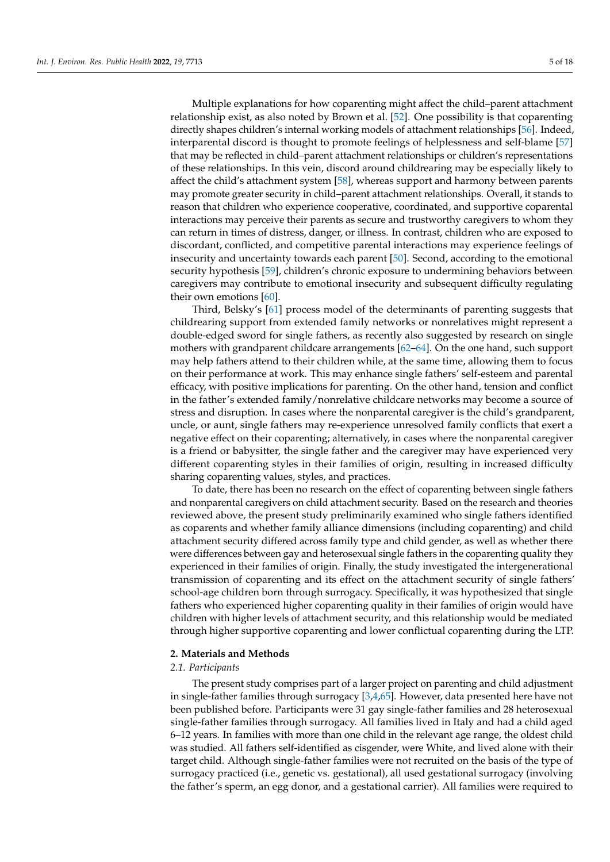Multiple explanations for how coparenting might affect the child–parent attachment relationship exist, as also noted by Brown et al. [\[52\]](#page-16-5). One possibility is that coparenting directly shapes children's internal working models of attachment relationships [\[56\]](#page-16-9). Indeed, interparental discord is thought to promote feelings of helplessness and self-blame [\[57\]](#page-16-10) that may be reflected in child–parent attachment relationships or children's representations of these relationships. In this vein, discord around childrearing may be especially likely to affect the child's attachment system [\[58\]](#page-16-11), whereas support and harmony between parents may promote greater security in child–parent attachment relationships. Overall, it stands to reason that children who experience cooperative, coordinated, and supportive coparental interactions may perceive their parents as secure and trustworthy caregivers to whom they can return in times of distress, danger, or illness. In contrast, children who are exposed to discordant, conflicted, and competitive parental interactions may experience feelings of insecurity and uncertainty towards each parent [\[50\]](#page-16-3). Second, according to the emotional security hypothesis [\[59\]](#page-16-12), children's chronic exposure to undermining behaviors between caregivers may contribute to emotional insecurity and subsequent difficulty regulating their own emotions [\[60\]](#page-16-13).

Third, Belsky's [\[61\]](#page-16-14) process model of the determinants of parenting suggests that childrearing support from extended family networks or nonrelatives might represent a double-edged sword for single fathers, as recently also suggested by research on single mothers with grandparent childcare arrangements [\[62](#page-16-15)[–64\]](#page-16-16). On the one hand, such support may help fathers attend to their children while, at the same time, allowing them to focus on their performance at work. This may enhance single fathers' self-esteem and parental efficacy, with positive implications for parenting. On the other hand, tension and conflict in the father's extended family/nonrelative childcare networks may become a source of stress and disruption. In cases where the nonparental caregiver is the child's grandparent, uncle, or aunt, single fathers may re-experience unresolved family conflicts that exert a negative effect on their coparenting; alternatively, in cases where the nonparental caregiver is a friend or babysitter, the single father and the caregiver may have experienced very different coparenting styles in their families of origin, resulting in increased difficulty sharing coparenting values, styles, and practices.

To date, there has been no research on the effect of coparenting between single fathers and nonparental caregivers on child attachment security. Based on the research and theories reviewed above, the present study preliminarily examined who single fathers identified as coparents and whether family alliance dimensions (including coparenting) and child attachment security differed across family type and child gender, as well as whether there were differences between gay and heterosexual single fathers in the coparenting quality they experienced in their families of origin. Finally, the study investigated the intergenerational transmission of coparenting and its effect on the attachment security of single fathers' school-age children born through surrogacy. Specifically, it was hypothesized that single fathers who experienced higher coparenting quality in their families of origin would have children with higher levels of attachment security, and this relationship would be mediated through higher supportive coparenting and lower conflictual coparenting during the LTP.

## **2. Materials and Methods**

## *2.1. Participants*

The present study comprises part of a larger project on parenting and child adjustment in single-father families through surrogacy [\[3](#page-14-2)[,4](#page-14-3)[,65\]](#page-16-17). However, data presented here have not been published before. Participants were 31 gay single-father families and 28 heterosexual single-father families through surrogacy. All families lived in Italy and had a child aged 6–12 years. In families with more than one child in the relevant age range, the oldest child was studied. All fathers self-identified as cisgender, were White, and lived alone with their target child. Although single-father families were not recruited on the basis of the type of surrogacy practiced (i.e., genetic vs. gestational), all used gestational surrogacy (involving the father's sperm, an egg donor, and a gestational carrier). All families were required to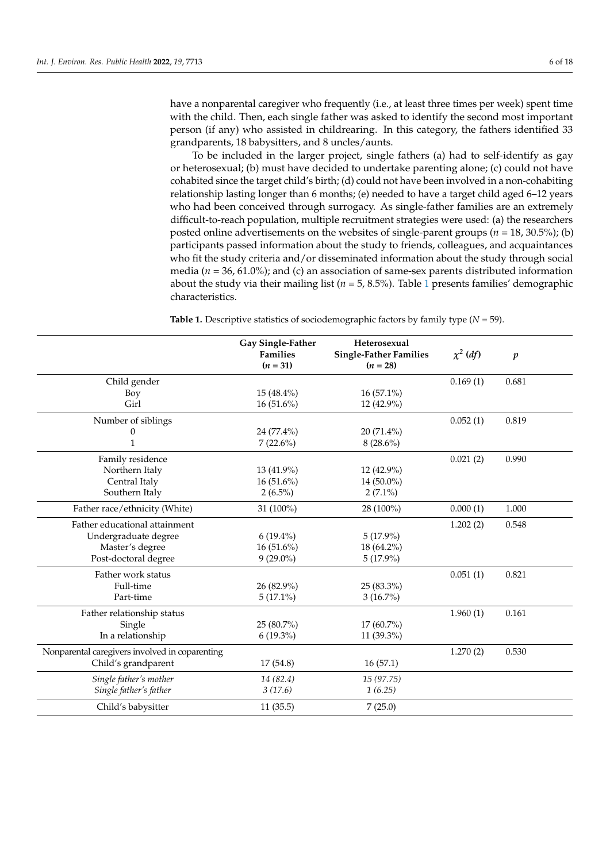have a nonparental caregiver who frequently (i.e., at least three times per week) spent time with the child. Then, each single father was asked to identify the second most important person (if any) who assisted in childrearing. In this category, the fathers identified 33 grandparents, 18 babysitters, and 8 uncles/aunts.

To be included in the larger project, single fathers (a) had to self-identify as gay or heterosexual; (b) must have decided to undertake parenting alone; (c) could not have cohabited since the target child's birth; (d) could not have been involved in a non-cohabiting relationship lasting longer than 6 months; (e) needed to have a target child aged 6–12 years who had been conceived through surrogacy. As single-father families are an extremely difficult-to-reach population, multiple recruitment strategies were used: (a) the researchers posted online advertisements on the websites of single-parent groups (*n* = 18, 30.5%); (b) participants passed information about the study to friends, colleagues, and acquaintances who fit the study criteria and/or disseminated information about the study through social media (*n* = 36, 61.0%); and (c) an association of same-sex parents distributed information about the study via their mailing list (*n* = 5, 8.5%). Table [1](#page-6-0) presents families' demographic characteristics.

**Table 1.** Descriptive statistics of sociodemographic factors by family type (*N* = 59).

|                                                | Gay Single-Father<br>Heterosexual<br><b>Families</b><br><b>Single-Father Families</b><br>$(n = 31)$<br>$(n = 28)$ |              | $\chi^2$ (df) | $\boldsymbol{p}$ |
|------------------------------------------------|-------------------------------------------------------------------------------------------------------------------|--------------|---------------|------------------|
| Child gender                                   |                                                                                                                   |              | 0.169(1)      | 0.681            |
| Boy                                            | $15(48.4\%)$                                                                                                      | $16(57.1\%)$ |               |                  |
| Girl                                           | $16(51.6\%)$                                                                                                      | 12 (42.9%)   |               |                  |
| Number of siblings                             |                                                                                                                   |              | 0.052(1)      | 0.819            |
| 0                                              | 24 (77.4%)                                                                                                        | 20 (71.4%)   |               |                  |
| 1                                              | $7(22.6\%)$                                                                                                       | $8(28.6\%)$  |               |                  |
| Family residence                               |                                                                                                                   |              | 0.021(2)      | 0.990            |
| Northern Italy                                 | 13 (41.9%)                                                                                                        | 12 (42.9%)   |               |                  |
| Central Italy                                  | $16(51.6\%)$                                                                                                      | 14 (50.0%)   |               |                  |
| Southern Italy                                 | $2(6.5\%)$                                                                                                        | $2(7.1\%)$   |               |                  |
| Father race/ethnicity (White)                  | 31 (100%)                                                                                                         | 28 (100%)    | 0.000(1)      | 1.000            |
| Father educational attainment                  |                                                                                                                   |              | 1.202(2)      | 0.548            |
| Undergraduate degree                           | $6(19.4\%)$                                                                                                       | $5(17.9\%)$  |               |                  |
| Master's degree                                | $16(51.6\%)$                                                                                                      | 18 (64.2%)   |               |                  |
| Post-doctoral degree                           | $9(29.0\%)$                                                                                                       | $5(17.9\%)$  |               |                  |
| Father work status                             |                                                                                                                   |              | 0.051(1)      | 0.821            |
| Full-time                                      | 26 (82.9%)                                                                                                        | 25 (83.3%)   |               |                  |
| Part-time                                      | $5(17.1\%)$                                                                                                       | $3(16.7\%)$  |               |                  |
| Father relationship status                     |                                                                                                                   |              | 1.960(1)      | 0.161            |
| Single                                         | 25 (80.7%)                                                                                                        | $17(60.7\%)$ |               |                  |
| In a relationship                              | $6(19.3\%)$                                                                                                       | 11 (39.3%)   |               |                  |
| Nonparental caregivers involved in coparenting |                                                                                                                   |              | 1.270(2)      | 0.530            |
| Child's grandparent                            | 17(54.8)                                                                                                          | 16(57.1)     |               |                  |
| Single father's mother                         | 14 (82.4)                                                                                                         | 15(97.75)    |               |                  |
| Single father's father                         | 3(17.6)                                                                                                           | 1(6.25)      |               |                  |
| Child's babysitter                             | 11(35.5)                                                                                                          | 7(25.0)      |               |                  |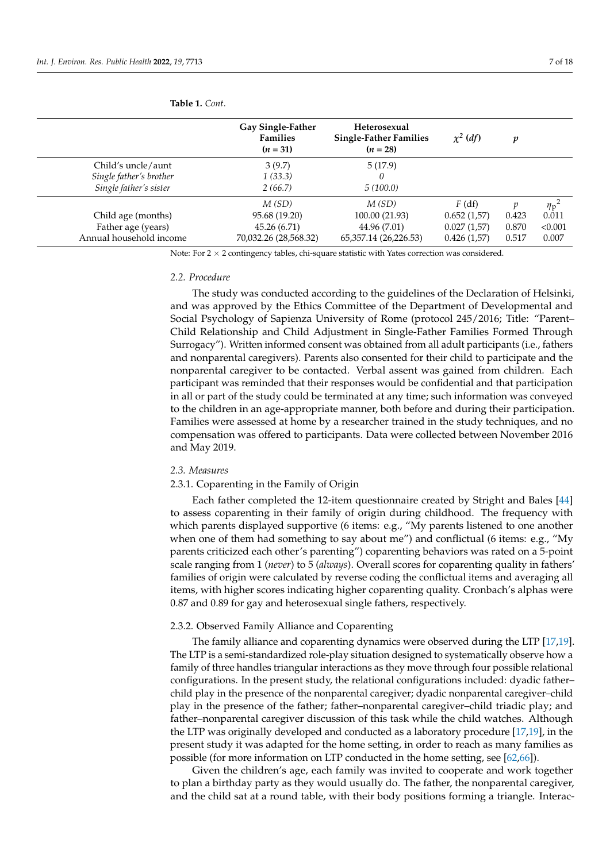|                         | <b>Gay Single-Father</b><br><b>Families</b><br>$(n = 31)$ | Heterosexual<br><b>Single-Father Families</b><br>$(n = 28)$ | $\chi^2$ (df) | v     |                  |
|-------------------------|-----------------------------------------------------------|-------------------------------------------------------------|---------------|-------|------------------|
| Child's uncle/aunt      | 3(9.7)                                                    | 5(17.9)                                                     |               |       |                  |
| Single father's brother | 1(33.3)                                                   | 0                                                           |               |       |                  |
| Single father's sister  | 2(66.7)                                                   | 5(100.0)                                                    |               |       |                  |
|                         | M(SD)                                                     | M(SD)                                                       | $F$ (df)      |       | $\eta_{\rm p}^2$ |
| Child age (months)      | 95.68 (19.20)                                             | 100.00 (21.93)                                              | 0.652(1.57)   | 0.423 | 0.011            |
| Father age (years)      | 45.26 (6.71)                                              | 44.96 (7.01)                                                | 0.027(1.57)   | 0.870 | < 0.001          |
| Annual household income | 70,032.26 (28,568.32)                                     | 65, 357.14 (26, 226.53)                                     | 0.426(1.57)   | 0.517 | 0.007            |

#### <span id="page-6-0"></span>**Table 1.** *Cont*.

Note: For 2 × 2 contingency tables, chi-square statistic with Yates correction was considered.

#### *2.2. Procedure*

The study was conducted according to the guidelines of the Declaration of Helsinki, and was approved by the Ethics Committee of the Department of Developmental and Social Psychology of Sapienza University of Rome (protocol 245/2016; Title: "Parent– Child Relationship and Child Adjustment in Single-Father Families Formed Through Surrogacy"). Written informed consent was obtained from all adult participants (i.e., fathers and nonparental caregivers). Parents also consented for their child to participate and the nonparental caregiver to be contacted. Verbal assent was gained from children. Each participant was reminded that their responses would be confidential and that participation in all or part of the study could be terminated at any time; such information was conveyed to the children in an age-appropriate manner, both before and during their participation. Families were assessed at home by a researcher trained in the study techniques, and no compensation was offered to participants. Data were collected between November 2016 and May 2019.

#### *2.3. Measures*

## 2.3.1. Coparenting in the Family of Origin

Each father completed the 12-item questionnaire created by Stright and Bales [\[44\]](#page-15-23) to assess coparenting in their family of origin during childhood. The frequency with which parents displayed supportive (6 items: e.g., "My parents listened to one another when one of them had something to say about me") and conflictual (6 items: e.g., "My parents criticized each other's parenting") coparenting behaviors was rated on a 5-point scale ranging from 1 (*never*) to 5 (*always*). Overall scores for coparenting quality in fathers' families of origin were calculated by reverse coding the conflictual items and averaging all items, with higher scores indicating higher coparenting quality. Cronbach's alphas were 0.87 and 0.89 for gay and heterosexual single fathers, respectively.

#### 2.3.2. Observed Family Alliance and Coparenting

The family alliance and coparenting dynamics were observed during the LTP [\[17](#page-14-15)[,19\]](#page-15-1). The LTP is a semi-standardized role-play situation designed to systematically observe how a family of three handles triangular interactions as they move through four possible relational configurations. In the present study, the relational configurations included: dyadic father– child play in the presence of the nonparental caregiver; dyadic nonparental caregiver–child play in the presence of the father; father–nonparental caregiver–child triadic play; and father–nonparental caregiver discussion of this task while the child watches. Although the LTP was originally developed and conducted as a laboratory procedure [\[17](#page-14-15)[,19\]](#page-15-1), in the present study it was adapted for the home setting, in order to reach as many families as possible (for more information on LTP conducted in the home setting, see [\[62](#page-16-15)[,66\]](#page-16-18)).

Given the children's age, each family was invited to cooperate and work together to plan a birthday party as they would usually do. The father, the nonparental caregiver, and the child sat at a round table, with their body positions forming a triangle. Interac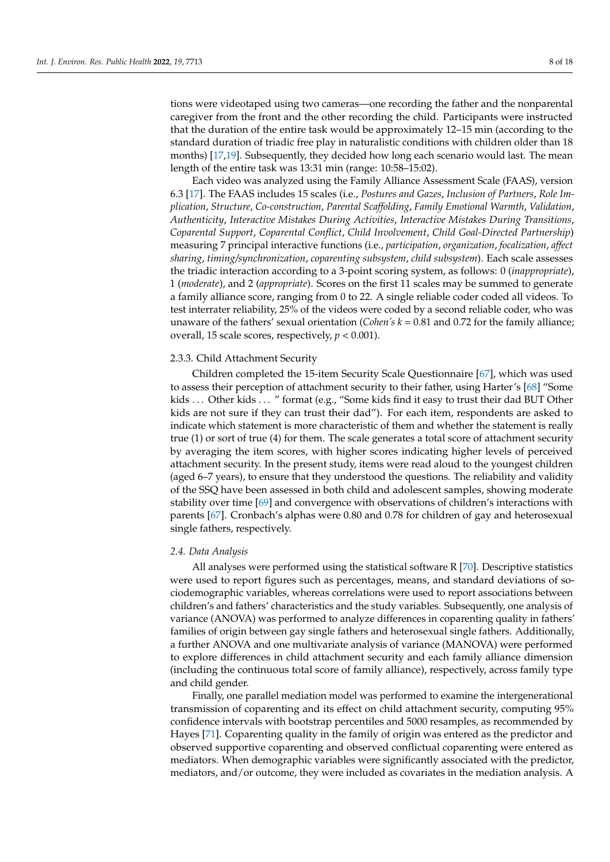tions were videotaped using two cameras—one recording the father and the nonparental caregiver from the front and the other recording the child. Participants were instructed that the duration of the entire task would be approximately 12–15 min (according to the standard duration of triadic free play in naturalistic conditions with children older than 18 months) [\[17,](#page-14-15)[19\]](#page-15-1). Subsequently, they decided how long each scenario would last. The mean length of the entire task was 13:31 min (range: 10:58–15:02).

Each video was analyzed using the Family Alliance Assessment Scale (FAAS), version 6.3 [\[17\]](#page-14-15). The FAAS includes 15 scales (i.e., *Postures and Gazes*, *Inclusion of Partners*, *Role Implication*, *Structure*, *Co-construction*, *Parental Scaffolding*, *Family Emotional Warmth*, *Validation*, *Authenticity*, *Interactive Mistakes During Activities*, *Interactive Mistakes During Transitions*, *Coparental Support*, *Coparental Conflict*, *Child Involvement*, *Child Goal-Directed Partnership*) measuring 7 principal interactive functions (i.e., *participation*, *organization*, *focalization*, *affect sharing*, *timing/synchronization*, *coparenting subsystem*, *child subsystem*). Each scale assesses the triadic interaction according to a 3-point scoring system, as follows: 0 (*inappropriate*), 1 (*moderate*), and 2 (*appropriate*). Scores on the first 11 scales may be summed to generate a family alliance score, ranging from 0 to 22. A single reliable coder coded all videos. To test interrater reliability, 25% of the videos were coded by a second reliable coder, who was unaware of the fathers' sexual orientation (*Cohen's k* = 0.81 and 0.72 for the family alliance; overall, 15 scale scores, respectively, *p* < 0.001).

## 2.3.3. Child Attachment Security

Children completed the 15-item Security Scale Questionnaire [\[67\]](#page-16-19), which was used to assess their perception of attachment security to their father, using Harter's [\[68\]](#page-16-20) "Some kids . . . Other kids . . . " format (e.g., "Some kids find it easy to trust their dad BUT Other kids are not sure if they can trust their dad"). For each item, respondents are asked to indicate which statement is more characteristic of them and whether the statement is really true (1) or sort of true (4) for them. The scale generates a total score of attachment security by averaging the item scores, with higher scores indicating higher levels of perceived attachment security. In the present study, items were read aloud to the youngest children (aged 6–7 years), to ensure that they understood the questions. The reliability and validity of the SSQ have been assessed in both child and adolescent samples, showing moderate stability over time [\[69\]](#page-16-21) and convergence with observations of children's interactions with parents [\[67\]](#page-16-19). Cronbach's alphas were 0.80 and 0.78 for children of gay and heterosexual single fathers, respectively.

## *2.4. Data Analysis*

All analyses were performed using the statistical software R [\[70\]](#page-16-22). Descriptive statistics were used to report figures such as percentages, means, and standard deviations of sociodemographic variables, whereas correlations were used to report associations between children's and fathers' characteristics and the study variables. Subsequently, one analysis of variance (ANOVA) was performed to analyze differences in coparenting quality in fathers' families of origin between gay single fathers and heterosexual single fathers. Additionally, a further ANOVA and one multivariate analysis of variance (MANOVA) were performed to explore differences in child attachment security and each family alliance dimension (including the continuous total score of family alliance), respectively, across family type and child gender.

Finally, one parallel mediation model was performed to examine the intergenerational transmission of coparenting and its effect on child attachment security, computing 95% confidence intervals with bootstrap percentiles and 5000 resamples, as recommended by Hayes [\[71\]](#page-16-23). Coparenting quality in the family of origin was entered as the predictor and observed supportive coparenting and observed conflictual coparenting were entered as mediators. When demographic variables were significantly associated with the predictor, mediators, and/or outcome, they were included as covariates in the mediation analysis. A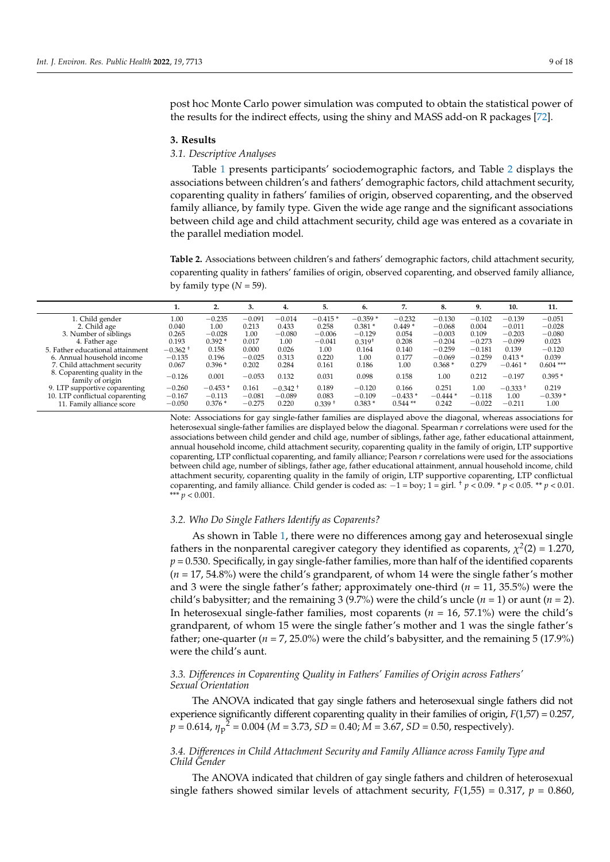post hoc Monte Carlo power simulation was computed to obtain the statistical power of the results for the indirect effects, using the shiny and MASS add-on R packages [\[72\]](#page-16-24).

#### **3. Results**

## *3.1. Descriptive Analyses*

Table [1](#page-6-0) presents participants' sociodemographic factors, and Table [2](#page-8-0) displays the associations between children's and fathers' demographic factors, child attachment security, coparenting quality in fathers' families of origin, observed coparenting, and the observed family alliance, by family type. Given the wide age range and the significant associations between child age and child attachment security, child age was entered as a covariate in the parallel mediation model.

<span id="page-8-0"></span>**Table 2.** Associations between children's and fathers' demographic factors, child attachment security, coparenting quality in fathers' families of origin, observed coparenting, and observed family alliance, by family type  $(N = 59)$ .

|                                                   |            | 2.        | 3.       | 4.         | 5.        | 6.          |           | 8.        | 9.       | 10.        | 11.         |
|---------------------------------------------------|------------|-----------|----------|------------|-----------|-------------|-----------|-----------|----------|------------|-------------|
| 1. Child gender                                   | 1.00       | $-0.235$  | $-0.091$ | $-0.014$   | $-0.415*$ | $-0.359*$   | $-0.232$  | $-0.130$  | $-0.102$ | $-0.139$   | $-0.051$    |
| 2. Child age                                      | 0.040      | 1.00      | 0.213    | 0.433      | 0.258     | $0.381*$    | $0.449*$  | $-0.068$  | 0.004    | $-0.011$   | $-0.028$    |
| 3. Number of siblings                             | 0.265      | $-0.028$  | 1.00     | $-0.080$   | $-0.006$  | $-0.129$    | 0.054     | $-0.003$  | 0.109    | $-0.203$   | $-0.080$    |
| 4. Father age                                     | 0.193      | $0.392*$  | 0.017    | 1.00       | $-0.041$  | $0.319^{+}$ | 0.208     | $-0.204$  | $-0.273$ | $-0.099$   | 0.023       |
| 5. Father educational attainment                  | $-0.362 +$ | 0.158     | 0.000    | 0.026      | 1.00      | 0.164       | 0.140     | $-0.259$  | $-0.181$ | 0.139      | $-0.120$    |
| 6. Annual household income                        | $-0.135$   | 0.196     | $-0.025$ | 0.313      | 0.220     | 1.00        | 0.177     | $-0.069$  | $-0.259$ | $0.413*$   | 0.039       |
| 7. Child attachment security                      | 0.067      | $0.396*$  | 0.202    | 0.284      | 0.161     | 0.186       | 1.00      | $0.368*$  | 0.279    | $-0.461*$  | $0.604$ *** |
| 8. Coparenting quality in the<br>family of origin | $-0.126$   | 0.001     | $-0.053$ | 0.132      | 0.031     | 0.098       | 0.158     | 1.00      | 0.212    | $-0.197$   | $0.395*$    |
| 9. LTP supportive coparenting                     | $-0.260$   | $-0.453*$ | 0.161    | $-0.342 +$ | 0.189     | $-0.120$    | 0.166     | 0.251     | 1.00     | $-0.333 +$ | 0.219       |
| 10. LTP conflictual coparenting                   | $-0.167$   | $-0.113$  | $-0.081$ | $-0.089$   | 0.083     | $-0.109$    | $-0.433*$ | $-0.444*$ | $-0.118$ | 1.00       | $-0.339*$   |
| 11. Family alliance score                         | $-0.050$   | $0.376*$  | $-0.275$ | 0.220      | $0.339 +$ | $0.383*$    | $0.544**$ | 0.242     | $-0.022$ | $-0.211$   | 1.00        |

Note: Associations for gay single-father families are displayed above the diagonal, whereas associations for heterosexual single-father families are displayed below the diagonal. Spearman *r* correlations were used for the associations between child gender and child age, number of siblings, father age, father educational attainment, annual household income, child attachment security, coparenting quality in the family of origin, LTP supportive coparenting, LTP conflictual coparenting, and family alliance; Pearson *r* correlations were used for the associations between child age, number of siblings, father age, father educational attainment, annual household income, child attachment security, coparenting quality in the family of origin, LTP supportive coparenting, LTP conflictual coparenting, and family alliance. Child gender is coded as:  $-1 = \text{boy; } 1 = \text{girl. }^{\dagger} p < 0.09$ . \*  $p < 0.05$ . \*\*  $p < 0.01$ . \*\*\* *p* < 0.001.

## *3.2. Who Do Single Fathers Identify as Coparents?*

As shown in Table [1,](#page-6-0) there were no differences among gay and heterosexual single fathers in the nonparental caregiver category they identified as coparents,  $\chi^2(2) = 1.270$ ,  $p = 0.530$ . Specifically, in gay single-father families, more than half of the identified coparents (*n* = 17, 54.8%) were the child's grandparent, of whom 14 were the single father's mother and 3 were the single father's father; approximately one-third (*n* = 11, 35.5%) were the child's babysitter; and the remaining 3 (9.7%) were the child's uncle  $(n = 1)$  or aunt  $(n = 2)$ . In heterosexual single-father families, most coparents (*n* = 16, 57.1%) were the child's grandparent, of whom 15 were the single father's mother and 1 was the single father's father; one-quarter  $(n = 7, 25.0\%)$  were the child's babysitter, and the remaining 5 (17.9%) were the child's aunt.

## *3.3. Differences in Coparenting Quality in Fathers' Families of Origin across Fathers' Sexual Orientation*

The ANOVA indicated that gay single fathers and heterosexual single fathers did not experience significantly different coparenting quality in their families of origin,  $F(1,57) = 0.257$ , *p* = 0.614, *η*<sup>p</sup> <sup>2</sup> = 0.004 (*M* = 3.73, *SD* = 0.40; *M* = 3.67, *SD* = 0.50, respectively).

# *3.4. Differences in Child Attachment Security and Family Alliance across Family Type and Child Gender*

The ANOVA indicated that children of gay single fathers and children of heterosexual single fathers showed similar levels of attachment security,  $F(1,55) = 0.317$ ,  $p = 0.860$ ,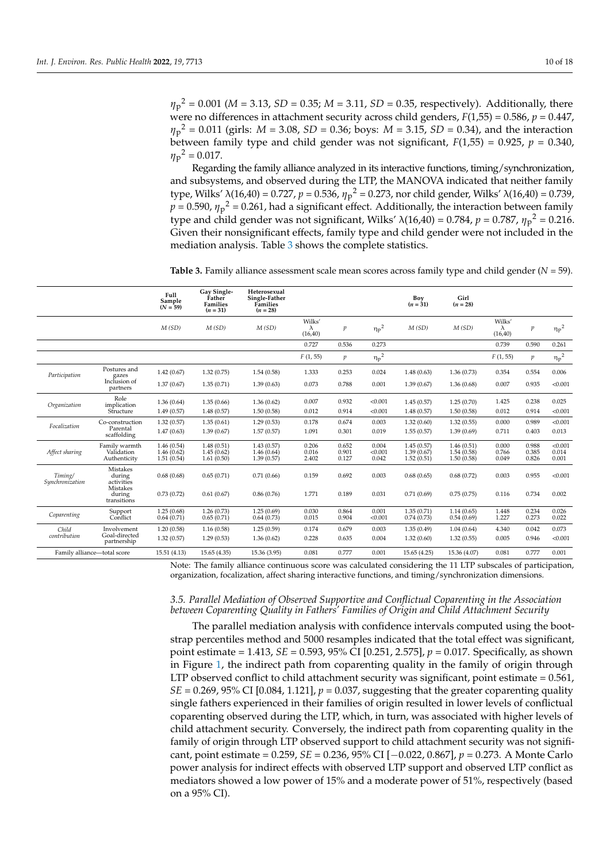*η*p <sup>2</sup> = 0.001 (*M* = 3.13, *SD* = 0.35; *M* = 3.11, *SD* = 0.35, respectively). Additionally, there were no differences in attachment security across child genders, *F*(1,55) = 0.586, *p* = 0.447, *η*p <sup>2</sup> = 0.011 (girls: *M* = 3.08, *SD* = 0.36; boys: *M* = 3.15, *SD* = 0.34), and the interaction between family type and child gender was not significant,  $F(1,55) = 0.925$ ,  $p = 0.340$ ,  $\eta_p^2 = 0.017$ .

Regarding the family alliance analyzed in its interactive functions, timing/synchronization, and subsystems, and observed during the LTP, the MANOVA indicated that neither family type, Wilks' λ(16,40) = 0.727, *p* = 0.536, *η*<sup>p</sup> <sup>2</sup> = 0.273, nor child gender, Wilks' λ(16,40) = 0.739,  $p = 0.590$ ,  ${\eta_{\rm p}}^2$  = 0.261, had a significant effect. Additionally, the interaction between family type and child gender was not significant, Wilks' λ(16,40) = 0.784,  $p = 0.787$ ,  $η<sub>p</sub><sup>2</sup> = 0.216$ . Given their nonsignificant effects, family type and child gender were not included in the mediation analysis. Table [3](#page-9-0) shows the complete statistics.

<span id="page-9-0"></span>**Table 3.** Family alliance assessment scale mean scores across family type and child gender (*N* = 59).

|                            |                                             | Full<br>Sample<br>$(N = 59)$           | Gay Single-<br>Father<br><b>Families</b><br>$(n = 31)$ | Heterosexual<br>Single-Father<br>Families<br>$(n = 28)$ |                         |                         |                           | Boy<br>$(n = 31)$                      | Girl<br>$(n = 28)$                     |                         |                         |                           |
|----------------------------|---------------------------------------------|----------------------------------------|--------------------------------------------------------|---------------------------------------------------------|-------------------------|-------------------------|---------------------------|----------------------------------------|----------------------------------------|-------------------------|-------------------------|---------------------------|
|                            |                                             | M(SD)                                  | M(SD)                                                  | M(SD)                                                   | Wilks'<br>λ<br>(16, 40) | $\boldsymbol{p}$        | ${\eta_p}^2$              | M(SD)                                  | M(SD)                                  | Wilks'<br>λ<br>(16, 40) | $\boldsymbol{p}$        | ${\eta_p}^2$              |
|                            |                                             |                                        |                                                        |                                                         | 0.727                   | 0.536                   | 0.273                     |                                        |                                        | 0.739                   | 0.590                   | 0.261                     |
|                            |                                             |                                        |                                                        |                                                         | F(1, 55)                | $p_{\parallel}$         | ${\eta_p}^2$              |                                        |                                        | F(1, 55)                | $\boldsymbol{p}$        | $\eta_p^2$                |
| Participation              | Postures and<br>gazes                       | 1.42(0.67)                             | 1.32(0.75)                                             | 1.54(0.58)                                              | 1.333                   | 0.253                   | 0.024                     | 1.48(0.63)                             | 1.36(0.73)                             | 0.354                   | 0.554                   | 0.006                     |
|                            | Inclusion of<br>partners                    | 1.37(0.67)                             | 1.35(0.71)                                             | 1.39(0.63)                                              | 0.073                   | 0.788                   | 0.001                     | 1.39(0.67)                             | 1.36(0.68)                             | 0.007                   | 0.935                   | < 0.001                   |
| Organization               | Role<br>implication                         | 1.36(0.64)                             | 1.35(0.66)                                             | 1.36(0.62)                                              | 0.007                   | 0.932                   | < 0.001                   | 1.45(0.57)                             | 1.25(0.70)                             | 1.425                   | 0.238                   | 0.025                     |
|                            | Structure                                   | 1.49(0.57)                             | 1.48(0.57)                                             | 1.50(0.58)                                              | 0.012                   | 0.914                   | < 0.001                   | 1.48(0.57)                             | 1.50(0.58)                             | 0.012                   | 0.914                   | < 0.001                   |
| Focalization               | Co-construction<br>Parental<br>scaffolding  | 1.32(0.57)                             | 1.35(0.61)                                             | 1.29(0.53)                                              | 0.178                   | 0.674                   | 0.003                     | 1.32(0.60)                             | 1.32(0.55)                             | 0.000                   | 0.989                   | < 0.001                   |
|                            |                                             | 1.47(0.63)                             | 1.39(0.67)                                             | 1.57(0.57)                                              | 1.091                   | 0.301                   | 0.019                     | 1.55(0.57)                             | 1.39(0.69)                             | 0.711                   | 0.403                   | 0.013                     |
| Affect sharing             | Family warmth<br>Validation<br>Authenticity | 1.46(0.54)<br>1.46(0.62)<br>1.51(0.54) | 1.48(0.51)<br>1.45(0.62)<br>1.61(0.50)                 | 1.43(0.57)<br>1.46(0.64)<br>1.39(0.57)                  | 0.206<br>0.016<br>2.402 | 0.652<br>0.901<br>0.127 | 0.004<br>< 0.001<br>0.042 | 1.45(0.57)<br>1.39(0.67)<br>1.52(0.51) | 1.46(0.51)<br>1.54(0.58)<br>1.50(0.58) | 0.000<br>0.766<br>0.049 | 0.988<br>0.385<br>0.826 | < 0.001<br>0.014<br>0.001 |
| Timing/<br>Synchronization | <b>Mistakes</b><br>during<br>activities     | 0.68(0.68)                             | 0.65(0.71)                                             | 0.71(0.66)                                              | 0.159                   | 0.692                   | 0.003                     | 0.68(0.65)                             | 0.68(0.72)                             | 0.003                   | 0.955                   | < 0.001                   |
|                            | Mistakes<br>during<br>transitions           | 0.73(0.72)                             | 0.61(0.67)                                             | 0.86(0.76)                                              | 1.771                   | 0.189                   | 0.031                     | 0.71(0.69)                             | 0.75(0.75)                             | 0.116                   | 0.734                   | 0.002                     |
| Coparenting                | Support<br>Conflict                         | 1.25(0.68)<br>0.64(0.71)               | 1.26(0.73)<br>0.65(0.71)                               | 1.25(0.69)<br>0.64(0.73)                                | 0.030<br>0.015          | 0.864<br>0.904          | 0.001<br>< 0.001          | 1.35(0.71)<br>0.74(0.73)               | 1.14(0.65)<br>0.54(0.69)               | 1.448<br>1.227          | 0.234<br>0.273          | 0.026<br>0.022            |
| Child                      | Involvement                                 | 1.20(0.58)                             | 1.16(0.58)                                             | 1.25(0.59)                                              | 0.174                   | 0.679                   | 0.003                     | 1.35(0.49)                             | 1.04(0.64)                             | 4.340                   | 0.042                   | 0.073                     |
| contribution               | Goal-directed<br>partnership                | 1.32(0.57)                             | 1.29(0.53)                                             | 1.36(0.62)                                              | 0.228                   | 0.635                   | 0.004                     | 1.32(0.60)                             | 1.32(0.55)                             | 0.005                   | 0.946                   | < 0.001                   |
|                            | Family alliance-total score                 | 15.51 (4.13)                           | 15.65 (4.35)                                           | 15.36 (3.95)                                            | 0.081                   | 0.777                   | 0.001                     | 15.65(4.25)                            | 15.36 (4.07)                           | 0.081                   | 0.777                   | 0.001                     |

Note: The family alliance continuous score was calculated considering the 11 LTP subscales of participation, organization, focalization, affect sharing interactive functions, and timing/synchronization dimensions.

## *3.5. Parallel Mediation of Observed Supportive and Conflictual Coparenting in the Association between Coparenting Quality in Fathers' Families of Origin and Child Attachment Security*

The parallel mediation analysis with confidence intervals computed using the bootstrap percentiles method and 5000 resamples indicated that the total effect was significant, point estimate = 1.413, *SE* = 0.593, 95% CI [0.251, 2.575], *p* = 0.017. Specifically, as shown in Figure [1,](#page-10-0) the indirect path from coparenting quality in the family of origin through LTP observed conflict to child attachment security was significant, point estimate = 0.561,  $SE = 0.269$ , 95% CI [0.084, 1.121],  $p = 0.037$ , suggesting that the greater coparenting quality single fathers experienced in their families of origin resulted in lower levels of conflictual coparenting observed during the LTP, which, in turn, was associated with higher levels of child attachment security. Conversely, the indirect path from coparenting quality in the family of origin through LTP observed support to child attachment security was not significant, point estimate = 0.259, *SE* = 0.236, 95% CI [−0.022, 0.867], *p* = 0.273. A Monte Carlo power analysis for indirect effects with observed LTP support and observed LTP conflict as mediators showed a low power of 15% and a moderate power of 51%, respectively (based on a 95% CI).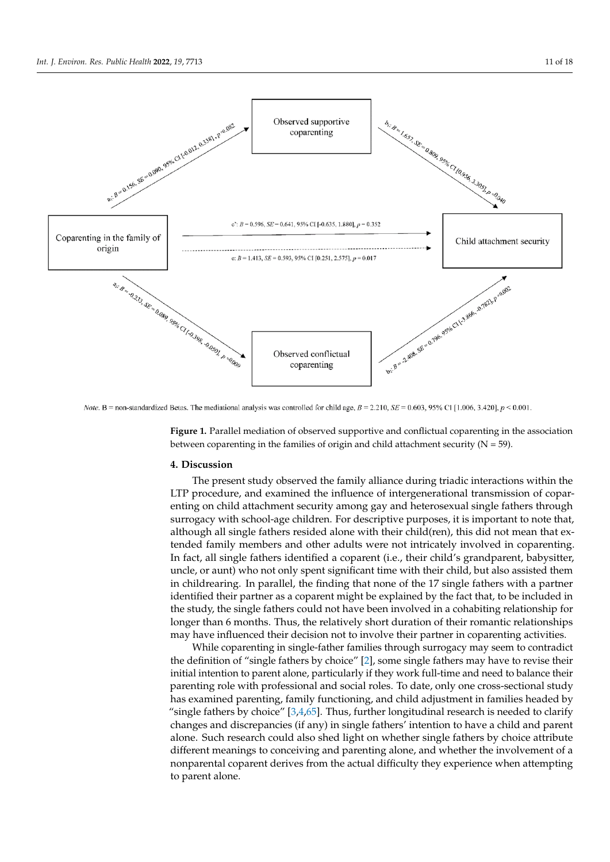<span id="page-10-0"></span>

Note. B = non-standardized Betas. The mediational analysis was controlled for child age,  $B = 2.210$ ,  $SE = 0.603$ , 95% Cl [1.006, 3.420],  $p < 0.001$ .

**Figure 1.** Parallel mediation of observed supportive and conflictual coparenting in the association **Figure 1.** Parallel mediation of observed supportive and conflictual coparenting in the association between coparenting in the families of origin and child attachment security ( $N = 59$ ).

## **4. Discussion 4. Discussion**

The present study observed the family alliance during triadic interactions within the The present study observed the family alliance during triadic interactions within the LTP procedure, and examined the influence of intergenerational transmission of LTP procedure, and examined the influence of intergenerational transmission of coparenting on child attachment security among gay and heterosexual single fathers through surrogacy with school-age children. For descriptive purposes, it is important to note that, although all single fathers resided alone with their child(ren), this did not mean that extended family members and other adults were not intricately involved in coparenting. In fact, all single fathers identified a coparent (i.e., their child's grandparent, babysitter, uncle, or aunt) who not only spent significant time with their child, but also assisted them in childrearing. In parallel, the finding that none of the 17 single fathers with a partner identified their partner as a coparent might be explained by the fact that, to be included in the study, the single fathers could not have been involved in a cohabiting relationship for longer than 6 months. Thus, the relatively short duration of their romantic relationships may have influenced their decision not to involve their partner in coparenting activities.

While coparenting in single-father families through surrogacy may seem to contradict the definition of "single fathers by choice" [\[2\]](#page-14-1), some single fathers may have to revise their initial intention to parent alone, particularly if they work full-time and need to balance their parenting role with professional and social roles. To date, only one cross-sectional study has examined parenting, family functioning, and child adjustment in families headed by "single fathers by choice"  $[3,4,65]$  $[3,4,65]$  $[3,4,65]$ . Thus, further longitudinal research is needed to clarify changes and discrepancies (if any) in single fathers' intention to have a child and parent alone. Such research could also shed light on whether single fathers by choice attribute different meanings to conceiving and parenting alone, and whether the involvement of a nonparental coparent derives from the actual difficulty they experience when attempting to parent alone.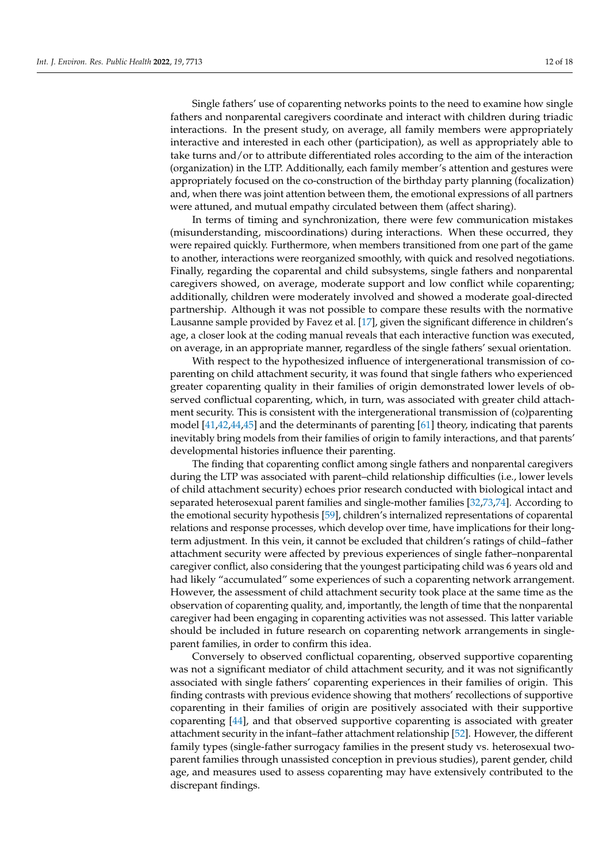Single fathers' use of coparenting networks points to the need to examine how single fathers and nonparental caregivers coordinate and interact with children during triadic interactions. In the present study, on average, all family members were appropriately interactive and interested in each other (participation), as well as appropriately able to take turns and/or to attribute differentiated roles according to the aim of the interaction (organization) in the LTP. Additionally, each family member's attention and gestures were appropriately focused on the co-construction of the birthday party planning (focalization) and, when there was joint attention between them, the emotional expressions of all partners were attuned, and mutual empathy circulated between them (affect sharing).

In terms of timing and synchronization, there were few communication mistakes (misunderstanding, miscoordinations) during interactions. When these occurred, they were repaired quickly. Furthermore, when members transitioned from one part of the game to another, interactions were reorganized smoothly, with quick and resolved negotiations. Finally, regarding the coparental and child subsystems, single fathers and nonparental caregivers showed, on average, moderate support and low conflict while coparenting; additionally, children were moderately involved and showed a moderate goal-directed partnership. Although it was not possible to compare these results with the normative Lausanne sample provided by Favez et al. [\[17\]](#page-14-15), given the significant difference in children's age, a closer look at the coding manual reveals that each interactive function was executed, on average, in an appropriate manner, regardless of the single fathers' sexual orientation.

With respect to the hypothesized influence of intergenerational transmission of coparenting on child attachment security, it was found that single fathers who experienced greater coparenting quality in their families of origin demonstrated lower levels of observed conflictual coparenting, which, in turn, was associated with greater child attachment security. This is consistent with the intergenerational transmission of (co)parenting model [\[41](#page-15-20)[,42](#page-15-21)[,44,](#page-15-23)[45\]](#page-15-24) and the determinants of parenting [\[61\]](#page-16-14) theory, indicating that parents inevitably bring models from their families of origin to family interactions, and that parents' developmental histories influence their parenting.

The finding that coparenting conflict among single fathers and nonparental caregivers during the LTP was associated with parent–child relationship difficulties (i.e., lower levels of child attachment security) echoes prior research conducted with biological intact and separated heterosexual parent families and single-mother families [\[32](#page-15-12)[,73](#page-16-25)[,74\]](#page-16-26). According to the emotional security hypothesis [\[59\]](#page-16-12), children's internalized representations of coparental relations and response processes, which develop over time, have implications for their longterm adjustment. In this vein, it cannot be excluded that children's ratings of child–father attachment security were affected by previous experiences of single father–nonparental caregiver conflict, also considering that the youngest participating child was 6 years old and had likely "accumulated" some experiences of such a coparenting network arrangement. However, the assessment of child attachment security took place at the same time as the observation of coparenting quality, and, importantly, the length of time that the nonparental caregiver had been engaging in coparenting activities was not assessed. This latter variable should be included in future research on coparenting network arrangements in singleparent families, in order to confirm this idea.

Conversely to observed conflictual coparenting, observed supportive coparenting was not a significant mediator of child attachment security, and it was not significantly associated with single fathers' coparenting experiences in their families of origin. This finding contrasts with previous evidence showing that mothers' recollections of supportive coparenting in their families of origin are positively associated with their supportive coparenting [\[44\]](#page-15-23), and that observed supportive coparenting is associated with greater attachment security in the infant–father attachment relationship [\[52\]](#page-16-5). However, the different family types (single-father surrogacy families in the present study vs. heterosexual twoparent families through unassisted conception in previous studies), parent gender, child age, and measures used to assess coparenting may have extensively contributed to the discrepant findings.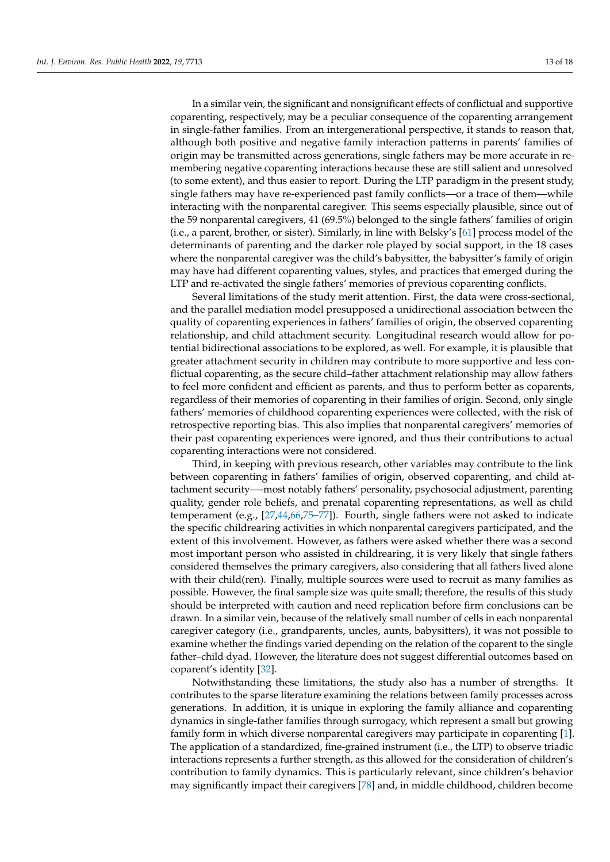In a similar vein, the significant and nonsignificant effects of conflictual and supportive coparenting, respectively, may be a peculiar consequence of the coparenting arrangement in single-father families. From an intergenerational perspective, it stands to reason that, although both positive and negative family interaction patterns in parents' families of origin may be transmitted across generations, single fathers may be more accurate in remembering negative coparenting interactions because these are still salient and unresolved (to some extent), and thus easier to report. During the LTP paradigm in the present study, single fathers may have re-experienced past family conflicts—or a trace of them—while interacting with the nonparental caregiver. This seems especially plausible, since out of the 59 nonparental caregivers, 41 (69.5%) belonged to the single fathers' families of origin (i.e., a parent, brother, or sister). Similarly, in line with Belsky's [\[61\]](#page-16-14) process model of the determinants of parenting and the darker role played by social support, in the 18 cases where the nonparental caregiver was the child's babysitter, the babysitter's family of origin may have had different coparenting values, styles, and practices that emerged during the LTP and re-activated the single fathers' memories of previous coparenting conflicts.

Several limitations of the study merit attention. First, the data were cross-sectional, and the parallel mediation model presupposed a unidirectional association between the quality of coparenting experiences in fathers' families of origin, the observed coparenting relationship, and child attachment security. Longitudinal research would allow for potential bidirectional associations to be explored, as well. For example, it is plausible that greater attachment security in children may contribute to more supportive and less conflictual coparenting, as the secure child–father attachment relationship may allow fathers to feel more confident and efficient as parents, and thus to perform better as coparents, regardless of their memories of coparenting in their families of origin. Second, only single fathers' memories of childhood coparenting experiences were collected, with the risk of retrospective reporting bias. This also implies that nonparental caregivers' memories of their past coparenting experiences were ignored, and thus their contributions to actual coparenting interactions were not considered.

Third, in keeping with previous research, other variables may contribute to the link between coparenting in fathers' families of origin, observed coparenting, and child attachment security—-most notably fathers' personality, psychosocial adjustment, parenting quality, gender role beliefs, and prenatal coparenting representations, as well as child temperament (e.g., [\[27,](#page-15-8)[44,](#page-15-23)[66,](#page-16-18)[75](#page-16-27)[–77\]](#page-17-0)). Fourth, single fathers were not asked to indicate the specific childrearing activities in which nonparental caregivers participated, and the extent of this involvement. However, as fathers were asked whether there was a second most important person who assisted in childrearing, it is very likely that single fathers considered themselves the primary caregivers, also considering that all fathers lived alone with their child(ren). Finally, multiple sources were used to recruit as many families as possible. However, the final sample size was quite small; therefore, the results of this study should be interpreted with caution and need replication before firm conclusions can be drawn. In a similar vein, because of the relatively small number of cells in each nonparental caregiver category (i.e., grandparents, uncles, aunts, babysitters), it was not possible to examine whether the findings varied depending on the relation of the coparent to the single father–child dyad. However, the literature does not suggest differential outcomes based on coparent's identity [\[32\]](#page-15-12).

Notwithstanding these limitations, the study also has a number of strengths. It contributes to the sparse literature examining the relations between family processes across generations. In addition, it is unique in exploring the family alliance and coparenting dynamics in single-father families through surrogacy, which represent a small but growing family form in which diverse nonparental caregivers may participate in coparenting [\[1\]](#page-14-0). The application of a standardized, fine-grained instrument (i.e., the LTP) to observe triadic interactions represents a further strength, as this allowed for the consideration of children's contribution to family dynamics. This is particularly relevant, since children's behavior may significantly impact their caregivers [\[78\]](#page-17-1) and, in middle childhood, children become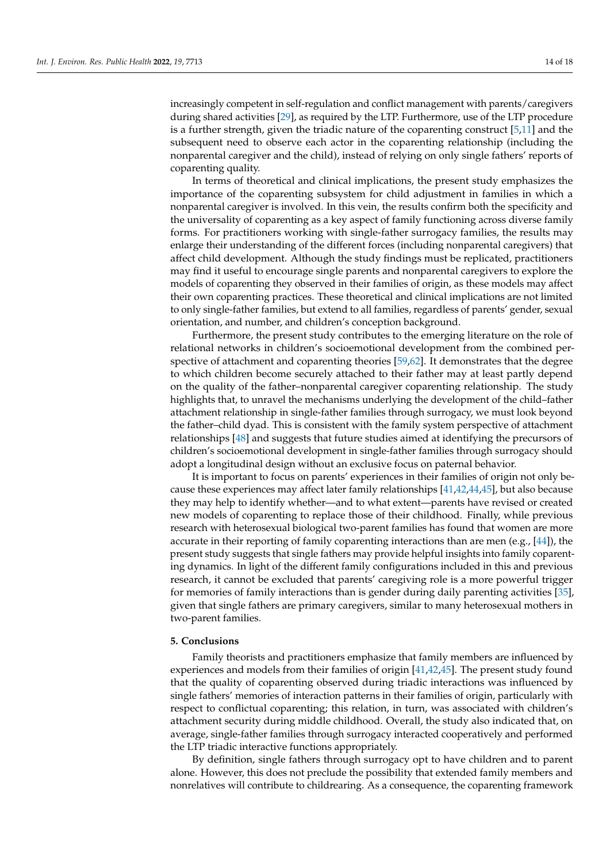increasingly competent in self-regulation and conflict management with parents/caregivers during shared activities [\[29\]](#page-15-10), as required by the LTP. Furthermore, use of the LTP procedure is a further strength, given the triadic nature of the coparenting construct  $[5,11]$  $[5,11]$  and the subsequent need to observe each actor in the coparenting relationship (including the nonparental caregiver and the child), instead of relying on only single fathers' reports of coparenting quality.

In terms of theoretical and clinical implications, the present study emphasizes the importance of the coparenting subsystem for child adjustment in families in which a nonparental caregiver is involved. In this vein, the results confirm both the specificity and the universality of coparenting as a key aspect of family functioning across diverse family forms. For practitioners working with single-father surrogacy families, the results may enlarge their understanding of the different forces (including nonparental caregivers) that affect child development. Although the study findings must be replicated, practitioners may find it useful to encourage single parents and nonparental caregivers to explore the models of coparenting they observed in their families of origin, as these models may affect their own coparenting practices. These theoretical and clinical implications are not limited to only single-father families, but extend to all families, regardless of parents' gender, sexual orientation, and number, and children's conception background.

Furthermore, the present study contributes to the emerging literature on the role of relational networks in children's socioemotional development from the combined perspective of attachment and coparenting theories [\[59](#page-16-12)[,62\]](#page-16-15). It demonstrates that the degree to which children become securely attached to their father may at least partly depend on the quality of the father–nonparental caregiver coparenting relationship. The study highlights that, to unravel the mechanisms underlying the development of the child–father attachment relationship in single-father families through surrogacy, we must look beyond the father–child dyad. This is consistent with the family system perspective of attachment relationships [\[48\]](#page-16-1) and suggests that future studies aimed at identifying the precursors of children's socioemotional development in single-father families through surrogacy should adopt a longitudinal design without an exclusive focus on paternal behavior.

It is important to focus on parents' experiences in their families of origin not only because these experiences may affect later family relationships [\[41](#page-15-20)[,42](#page-15-21)[,44,](#page-15-23)[45\]](#page-15-24), but also because they may help to identify whether—and to what extent—parents have revised or created new models of coparenting to replace those of their childhood. Finally, while previous research with heterosexual biological two-parent families has found that women are more accurate in their reporting of family coparenting interactions than are men (e.g., [\[44\]](#page-15-23)), the present study suggests that single fathers may provide helpful insights into family coparenting dynamics. In light of the different family configurations included in this and previous research, it cannot be excluded that parents' caregiving role is a more powerful trigger for memories of family interactions than is gender during daily parenting activities [\[35\]](#page-15-26), given that single fathers are primary caregivers, similar to many heterosexual mothers in two-parent families.

#### **5. Conclusions**

Family theorists and practitioners emphasize that family members are influenced by experiences and models from their families of origin [\[41](#page-15-20)[,42](#page-15-21)[,45\]](#page-15-24). The present study found that the quality of coparenting observed during triadic interactions was influenced by single fathers' memories of interaction patterns in their families of origin, particularly with respect to conflictual coparenting; this relation, in turn, was associated with children's attachment security during middle childhood. Overall, the study also indicated that, on average, single-father families through surrogacy interacted cooperatively and performed the LTP triadic interactive functions appropriately.

By definition, single fathers through surrogacy opt to have children and to parent alone. However, this does not preclude the possibility that extended family members and nonrelatives will contribute to childrearing. As a consequence, the coparenting framework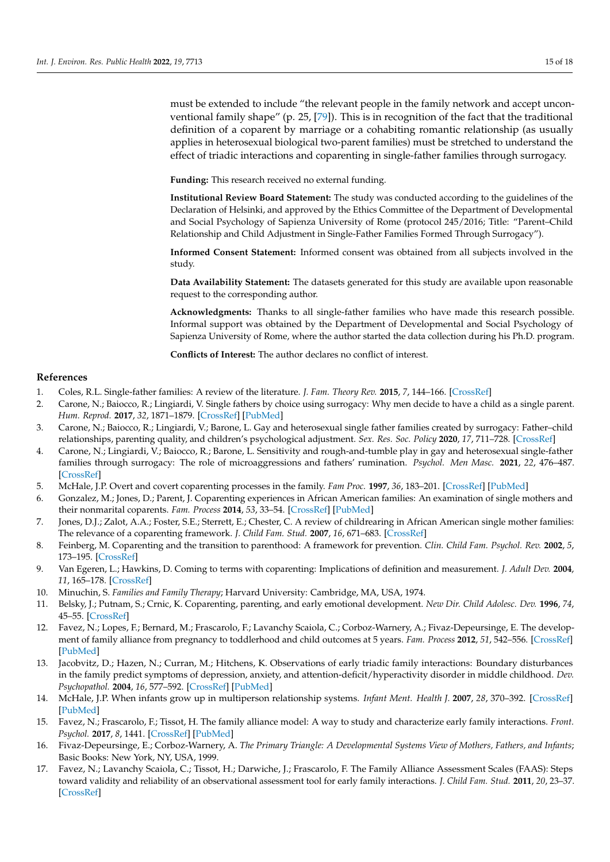must be extended to include "the relevant people in the family network and accept unconventional family shape" (p. 25, [\[79\]](#page-17-2)). This is in recognition of the fact that the traditional definition of a coparent by marriage or a cohabiting romantic relationship (as usually applies in heterosexual biological two-parent families) must be stretched to understand the effect of triadic interactions and coparenting in single-father families through surrogacy.

**Funding:** This research received no external funding.

**Institutional Review Board Statement:** The study was conducted according to the guidelines of the Declaration of Helsinki, and approved by the Ethics Committee of the Department of Developmental and Social Psychology of Sapienza University of Rome (protocol 245/2016; Title: "Parent–Child Relationship and Child Adjustment in Single-Father Families Formed Through Surrogacy").

**Informed Consent Statement:** Informed consent was obtained from all subjects involved in the study.

**Data Availability Statement:** The datasets generated for this study are available upon reasonable request to the corresponding author.

**Acknowledgments:** Thanks to all single-father families who have made this research possible. Informal support was obtained by the Department of Developmental and Social Psychology of Sapienza University of Rome, where the author started the data collection during his Ph.D. program.

**Conflicts of Interest:** The author declares no conflict of interest.

## **References**

- <span id="page-14-0"></span>1. Coles, R.L. Single-father families: A review of the literature. *J. Fam. Theory Rev.* **2015**, *7*, 144–166. [\[CrossRef\]](http://doi.org/10.1111/jftr.12069)
- <span id="page-14-1"></span>2. Carone, N.; Baiocco, R.; Lingiardi, V. Single fathers by choice using surrogacy: Why men decide to have a child as a single parent. *Hum. Reprod.* **2017**, *32*, 1871–1879. [\[CrossRef\]](http://doi.org/10.1093/humrep/dex245) [\[PubMed\]](http://www.ncbi.nlm.nih.gov/pubmed/28854718)
- <span id="page-14-2"></span>3. Carone, N.; Baiocco, R.; Lingiardi, V.; Barone, L. Gay and heterosexual single father families created by surrogacy: Father–child relationships, parenting quality, and children's psychological adjustment. *Sex. Res. Soc. Policy* **2020**, *17*, 711–728. [\[CrossRef\]](http://doi.org/10.1007/s13178-019-00428-7)
- <span id="page-14-3"></span>4. Carone, N.; Lingiardi, V.; Baiocco, R.; Barone, L. Sensitivity and rough-and-tumble play in gay and heterosexual single-father families through surrogacy: The role of microaggressions and fathers' rumination. *Psychol. Men Masc.* **2021**, *22*, 476–487. [\[CrossRef\]](http://doi.org/10.1037/men0000267)
- <span id="page-14-4"></span>5. McHale, J.P. Overt and covert coparenting processes in the family. *Fam Proc.* **1997**, *36*, 183–201. [\[CrossRef\]](http://doi.org/10.1111/j.1545-5300.1997.00183.x) [\[PubMed\]](http://www.ncbi.nlm.nih.gov/pubmed/9248827)
- <span id="page-14-5"></span>6. Gonzalez, M.; Jones, D.; Parent, J. Coparenting experiences in African American families: An examination of single mothers and their nonmarital coparents. *Fam. Process* **2014**, *53*, 33–54. [\[CrossRef\]](http://doi.org/10.1111/famp.12063) [\[PubMed\]](http://www.ncbi.nlm.nih.gov/pubmed/24479612)
- <span id="page-14-6"></span>7. Jones, D.J.; Zalot, A.A.; Foster, S.E.; Sterrett, E.; Chester, C. A review of childrearing in African American single mother families: The relevance of a coparenting framework. *J. Child Fam. Stud.* **2007**, *16*, 671–683. [\[CrossRef\]](http://doi.org/10.1007/s10826-006-9115-0)
- <span id="page-14-7"></span>8. Feinberg, M. Coparenting and the transition to parenthood: A framework for prevention. *Clin. Child Fam. Psychol. Rev.* **2002**, *5*, 173–195. [\[CrossRef\]](http://doi.org/10.1023/A:1019695015110)
- <span id="page-14-8"></span>9. Van Egeren, L.; Hawkins, D. Coming to terms with coparenting: Implications of definition and measurement. *J. Adult Dev.* **2004**, *11*, 165–178. [\[CrossRef\]](http://doi.org/10.1023/B:JADE.0000035625.74672.0b)
- <span id="page-14-9"></span>10. Minuchin, S. *Families and Family Therapy*; Harvard University: Cambridge, MA, USA, 1974.
- <span id="page-14-10"></span>11. Belsky, J.; Putnam, S.; Crnic, K. Coparenting, parenting, and early emotional development. *New Dir. Child Adolesc. Dev.* **1996**, *74*, 45–55. [\[CrossRef\]](http://doi.org/10.1002/cd.23219967405)
- <span id="page-14-11"></span>12. Favez, N.; Lopes, F.; Bernard, M.; Frascarolo, F.; Lavanchy Scaiola, C.; Corboz-Warnery, A.; Fivaz-Depeursinge, E. The development of family alliance from pregnancy to toddlerhood and child outcomes at 5 years. *Fam. Process* **2012**, *51*, 542–556. [\[CrossRef\]](http://doi.org/10.1111/j.1545-5300.2012.01419.x) [\[PubMed\]](http://www.ncbi.nlm.nih.gov/pubmed/23230984)
- 13. Jacobvitz, D.; Hazen, N.; Curran, M.; Hitchens, K. Observations of early triadic family interactions: Boundary disturbances in the family predict symptoms of depression, anxiety, and attention-deficit/hyperactivity disorder in middle childhood. *Dev. Psychopathol.* **2004**, *16*, 577–592. [\[CrossRef\]](http://doi.org/10.1017/S0954579404004675) [\[PubMed\]](http://www.ncbi.nlm.nih.gov/pubmed/15605626)
- <span id="page-14-12"></span>14. McHale, J.P. When infants grow up in multiperson relationship systems. *Infant Ment. Health J.* **2007**, *28*, 370–392. [\[CrossRef\]](http://doi.org/10.1002/imhj.20142) [\[PubMed\]](http://www.ncbi.nlm.nih.gov/pubmed/21512615)
- <span id="page-14-13"></span>15. Favez, N.; Frascarolo, F.; Tissot, H. The family alliance model: A way to study and characterize early family interactions. *Front. Psychol.* **2017**, *8*, 1441. [\[CrossRef\]](http://doi.org/10.3389/fpsyg.2017.01441) [\[PubMed\]](http://www.ncbi.nlm.nih.gov/pubmed/28878726)
- <span id="page-14-14"></span>16. Fivaz-Depeursinge, E.; Corboz-Warnery, A. *The Primary Triangle: A Developmental Systems View of Mothers, Fathers, and Infants*; Basic Books: New York, NY, USA, 1999.
- <span id="page-14-15"></span>17. Favez, N.; Lavanchy Scaiola, C.; Tissot, H.; Darwiche, J.; Frascarolo, F. The Family Alliance Assessment Scales (FAAS): Steps toward validity and reliability of an observational assessment tool for early family interactions. *J. Child Fam. Stud.* **2011**, *20*, 23–37. [\[CrossRef\]](http://doi.org/10.1007/s10826-010-9374-7)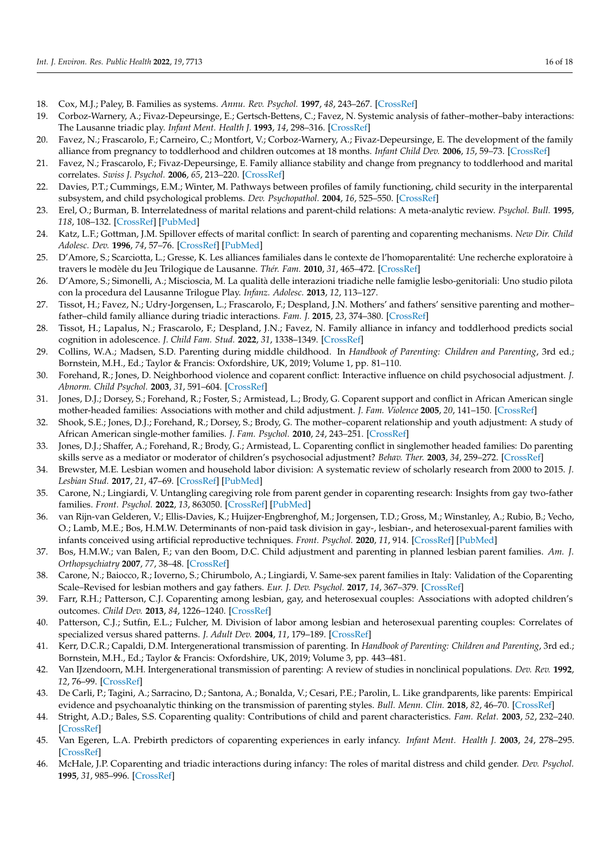- <span id="page-15-0"></span>18. Cox, M.J.; Paley, B. Families as systems. *Annu. Rev. Psychol.* **1997**, *48*, 243–267. [\[CrossRef\]](http://doi.org/10.1146/annurev.psych.48.1.243)
- <span id="page-15-1"></span>19. Corboz-Warnery, A.; Fivaz-Depeursinge, E.; Gertsch-Bettens, C.; Favez, N. Systemic analysis of father–mother–baby interactions: The Lausanne triadic play. *Infant Ment. Health J.* **1993**, *14*, 298–316. [\[CrossRef\]](http://doi.org/10.1002/1097-0355(199324)14:4<298::AID-IMHJ2280140405>3.0.CO;2-)
- <span id="page-15-2"></span>20. Favez, N.; Frascarolo, F.; Carneiro, C.; Montfort, V.; Corboz-Warnery, A.; Fivaz-Depeursinge, E. The development of the family alliance from pregnancy to toddlerhood and children outcomes at 18 months. *Infant Child Dev.* **2006**, *15*, 59–73. [\[CrossRef\]](http://doi.org/10.1002/icd.430)
- <span id="page-15-3"></span>21. Favez, N.; Frascarolo, F.; Fivaz-Depeursinge, E. Family alliance stability and change from pregnancy to toddlerhood and marital correlates. *Swiss J. Psychol.* **2006**, *65*, 213–220. [\[CrossRef\]](http://doi.org/10.1024/1421-0185.65.4.213)
- <span id="page-15-4"></span>22. Davies, P.T.; Cummings, E.M.; Winter, M. Pathways between profiles of family functioning, child security in the interparental subsystem, and child psychological problems. *Dev. Psychopathol.* **2004**, *16*, 525–550. [\[CrossRef\]](http://doi.org/10.1017/S0954579404004651)
- 23. Erel, O.; Burman, B. Interrelatedness of marital relations and parent-child relations: A meta-analytic review. *Psychol. Bull.* **1995**, *118*, 108–132. [\[CrossRef\]](http://doi.org/10.1037/0033-2909.118.1.108) [\[PubMed\]](http://www.ncbi.nlm.nih.gov/pubmed/7644602)
- <span id="page-15-5"></span>24. Katz, L.F.; Gottman, J.M. Spillover effects of marital conflict: In search of parenting and coparenting mechanisms. *New Dir. Child Adolesc. Dev.* **1996**, *74*, 57–76. [\[CrossRef\]](http://doi.org/10.1002/cd.23219967406) [\[PubMed\]](http://www.ncbi.nlm.nih.gov/pubmed/9308433)
- <span id="page-15-6"></span>25. D'Amore, S.; Scarciotta, L.; Gresse, K. Les alliances familiales dans le contexte de l'homoparentalité: Une recherche exploratoire à travers le modèle du Jeu Trilogique de Lausanne. *Thér. Fam.* **2010**, *31*, 465–472. [\[CrossRef\]](http://doi.org/10.3917/tf.104.0465)
- <span id="page-15-7"></span>26. D'Amore, S.; Simonelli, A.; Miscioscia, M. La qualità delle interazioni triadiche nelle famiglie lesbo-genitoriali: Uno studio pilota con la procedura del Lausanne Trilogue Play. *Infanz. Adolesc.* **2013**, *12*, 113–127.
- <span id="page-15-8"></span>27. Tissot, H.; Favez, N.; Udry-Jorgensen, L.; Frascarolo, F.; Despland, J.N. Mothers' and fathers' sensitive parenting and mother– father–child family alliance during triadic interactions. *Fam. J.* **2015**, *23*, 374–380. [\[CrossRef\]](http://doi.org/10.1177/1066480715601110)
- <span id="page-15-9"></span>28. Tissot, H.; Lapalus, N.; Frascarolo, F.; Despland, J.N.; Favez, N. Family alliance in infancy and toddlerhood predicts social cognition in adolescence. *J. Child Fam. Stud.* **2022**, *31*, 1338–1349. [\[CrossRef\]](http://doi.org/10.1007/s10826-021-02110-2)
- <span id="page-15-10"></span>29. Collins, W.A.; Madsen, S.D. Parenting during middle childhood. In *Handbook of Parenting: Children and Parenting*, 3rd ed.; Bornstein, M.H., Ed.; Taylor & Francis: Oxfordshire, UK, 2019; Volume 1, pp. 81–110.
- <span id="page-15-11"></span>30. Forehand, R.; Jones, D. Neighborhood violence and coparent conflict: Interactive influence on child psychosocial adjustment. *J. Abnorm. Child Psychol.* **2003**, *31*, 591–604. [\[CrossRef\]](http://doi.org/10.1023/A:1026206122470)
- <span id="page-15-13"></span>31. Jones, D.J.; Dorsey, S.; Forehand, R.; Foster, S.; Armistead, L.; Brody, G. Coparent support and conflict in African American single mother-headed families: Associations with mother and child adjustment. *J. Fam. Violence* **2005**, *20*, 141–150. [\[CrossRef\]](http://doi.org/10.1007/s10896-005-3650-0)
- <span id="page-15-12"></span>32. Shook, S.E.; Jones, D.J.; Forehand, R.; Dorsey, S.; Brody, G. The mother–coparent relationship and youth adjustment: A study of African American single-mother families. *J. Fam. Psychol.* **2010**, *24*, 243–251. [\[CrossRef\]](http://doi.org/10.1037/a0019630)
- <span id="page-15-14"></span>33. Jones, D.J.; Shaffer, A.; Forehand, R.; Brody, G.; Armistead, L. Coparenting conflict in singlemother headed families: Do parenting skills serve as a mediator or moderator of children's psychosocial adjustment? *Behav. Ther.* **2003**, *34*, 259–272. [\[CrossRef\]](http://doi.org/10.1016/S0005-7894(03)80016-3)
- <span id="page-15-15"></span>34. Brewster, M.E. Lesbian women and household labor division: A systematic review of scholarly research from 2000 to 2015. *J. Lesbian Stud.* **2017**, *21*, 47–69. [\[CrossRef\]](http://doi.org/10.1080/10894160.2016.1142350) [\[PubMed\]](http://www.ncbi.nlm.nih.gov/pubmed/27593386)
- <span id="page-15-26"></span>35. Carone, N.; Lingiardi, V. Untangling caregiving role from parent gender in coparenting research: Insights from gay two-father families. *Front. Psychol.* **2022**, *13*, 863050. [\[CrossRef\]](http://doi.org/10.3389/fpsyg.2022.863050) [\[PubMed\]](http://www.ncbi.nlm.nih.gov/pubmed/35369247)
- <span id="page-15-16"></span>36. van Rijn-van Gelderen, V.; Ellis-Davies, K.; Huijzer-Engbrenghof, M.; Jorgensen, T.D.; Gross, M.; Winstanley, A.; Rubio, B.; Vecho, O.; Lamb, M.E.; Bos, H.M.W. Determinants of non-paid task division in gay-, lesbian-, and heterosexual-parent families with infants conceived using artificial reproductive techniques. *Front. Psychol.* **2020**, *11*, 914. [\[CrossRef\]](http://doi.org/10.3389/fpsyg.2020.00914) [\[PubMed\]](http://www.ncbi.nlm.nih.gov/pubmed/32477222)
- <span id="page-15-17"></span>37. Bos, H.M.W.; van Balen, F.; van den Boom, D.C. Child adjustment and parenting in planned lesbian parent families. *Am. J. Orthopsychiatry* **2007**, *77*, 38–48. [\[CrossRef\]](http://doi.org/10.1037/0002-9432.77.1.38)
- 38. Carone, N.; Baiocco, R.; Ioverno, S.; Chirumbolo, A.; Lingiardi, V. Same-sex parent families in Italy: Validation of the Coparenting Scale–Revised for lesbian mothers and gay fathers. *Eur. J. Dev. Psychol.* **2017**, *14*, 367–379. [\[CrossRef\]](http://doi.org/10.1080/17405629.2016.1205478)
- <span id="page-15-18"></span>39. Farr, R.H.; Patterson, C.J. Coparenting among lesbian, gay, and heterosexual couples: Associations with adopted children's outcomes. *Child Dev.* **2013**, *84*, 1226–1240. [\[CrossRef\]](http://doi.org/10.1111/cdev.12046)
- <span id="page-15-19"></span>40. Patterson, C.J.; Sutfin, E.L.; Fulcher, M. Division of labor among lesbian and heterosexual parenting couples: Correlates of specialized versus shared patterns. *J. Adult Dev.* **2004**, *11*, 179–189. [\[CrossRef\]](http://doi.org/10.1023/B:JADE.0000035626.90331.47)
- <span id="page-15-20"></span>41. Kerr, D.C.R.; Capaldi, D.M. Intergenerational transmission of parenting. In *Handbook of Parenting: Children and Parenting*, 3rd ed.; Bornstein, M.H., Ed.; Taylor & Francis: Oxfordshire, UK, 2019; Volume 3, pp. 443–481.
- <span id="page-15-21"></span>42. Van IJzendoorn, M.H. Intergenerational transmission of parenting: A review of studies in nonclinical populations. *Dev. Rev.* **1992**, *12*, 76–99. [\[CrossRef\]](http://doi.org/10.1016/0273-2297(92)90004-L)
- <span id="page-15-22"></span>43. De Carli, P.; Tagini, A.; Sarracino, D.; Santona, A.; Bonalda, V.; Cesari, P.E.; Parolin, L. Like grandparents, like parents: Empirical evidence and psychoanalytic thinking on the transmission of parenting styles. *Bull. Menn. Clin.* **2018**, *82*, 46–70. [\[CrossRef\]](http://doi.org/10.1521/bumc_2017_81_11)
- <span id="page-15-23"></span>44. Stright, A.D.; Bales, S.S. Coparenting quality: Contributions of child and parent characteristics. *Fam. Relat.* **2003**, *52*, 232–240. [\[CrossRef\]](http://doi.org/10.1111/j.1741-3729.2003.00232.x)
- <span id="page-15-24"></span>45. Van Egeren, L.A. Prebirth predictors of coparenting experiences in early infancy. *Infant Ment. Health J.* **2003**, *24*, 278–295. [\[CrossRef\]](http://doi.org/10.1002/imhj.10056)
- <span id="page-15-25"></span>46. McHale, J.P. Coparenting and triadic interactions during infancy: The roles of marital distress and child gender. *Dev. Psychol.* **1995**, *31*, 985–996. [\[CrossRef\]](http://doi.org/10.1037/0012-1649.31.6.985)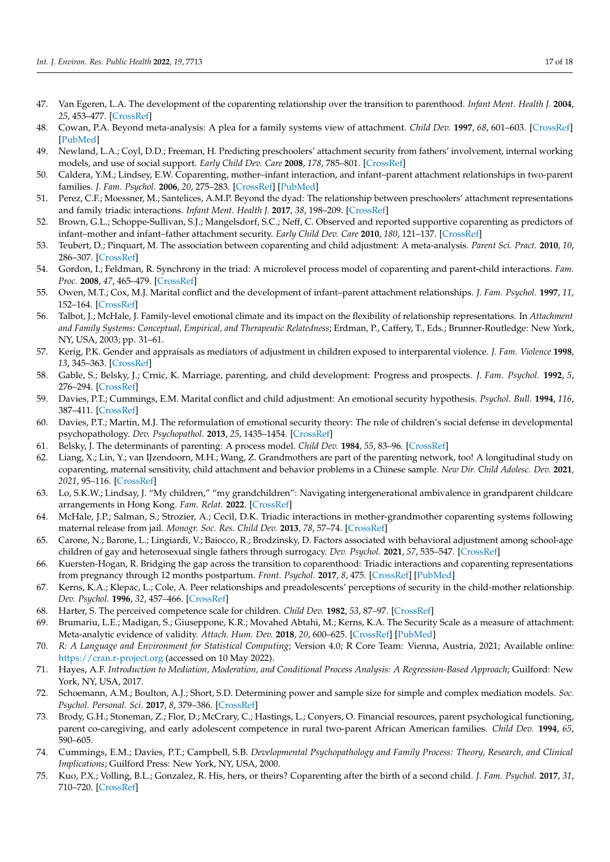- <span id="page-16-0"></span>47. Van Egeren, L.A. The development of the coparenting relationship over the transition to parenthood. *Infant Ment. Health J.* **2004**, *25*, 453–477. [\[CrossRef\]](http://doi.org/10.1002/imhj.20019)
- <span id="page-16-1"></span>48. Cowan, P.A. Beyond meta-analysis: A plea for a family systems view of attachment. *Child Dev.* **1997**, *68*, 601–603. [\[CrossRef\]](http://doi.org/10.2307/1132111) [\[PubMed\]](http://www.ncbi.nlm.nih.gov/pubmed/9306639)
- <span id="page-16-2"></span>49. Newland, L.A.; Coyl, D.D.; Freeman, H. Predicting preschoolers' attachment security from fathers' involvement, internal working models, and use of social support. *Early Child Dev. Care* **2008**, *178*, 785–801. [\[CrossRef\]](http://doi.org/10.1080/03004430802352186)
- <span id="page-16-3"></span>50. Caldera, Y.M.; Lindsey, E.W. Coparenting, mother–infant interaction, and infant–parent attachment relationships in two-parent families. *J. Fam. Psychol.* **2006**, *20*, 275–283. [\[CrossRef\]](http://doi.org/10.1037/0893-3200.20.2.275) [\[PubMed\]](http://www.ncbi.nlm.nih.gov/pubmed/16756403)
- <span id="page-16-4"></span>51. Perez, C.F.; Moessner, M.; Santelices, A.M.P. Beyond the dyad: The relationship between preschoolers' attachment representations and family triadic interactions. *Infant Ment. Health J.* **2017**, *38*, 198–209. [\[CrossRef\]](http://doi.org/10.1002/imhj.21633)
- <span id="page-16-5"></span>52. Brown, G.L.; Schoppe-Sullivan, S.J.; Mangelsdorf, S.C.; Neff, C. Observed and reported supportive coparenting as predictors of infant–mother and infant–father attachment security. *Early Child Dev. Care* **2010**, *180*, 121–137. [\[CrossRef\]](http://doi.org/10.1080/03004430903415015)
- <span id="page-16-6"></span>53. Teubert, D.; Pinquart, M. The association between coparenting and child adjustment: A meta-analysis. *Parent Sci. Pract.* **2010**, *10*, 286–307. [\[CrossRef\]](http://doi.org/10.1080/15295192.2010.492040)
- <span id="page-16-7"></span>54. Gordon, I.; Feldman, R. Synchrony in the triad: A microlevel process model of coparenting and parent-child interactions. *Fam. Proc.* **2008**, *47*, 465–479. [\[CrossRef\]](http://doi.org/10.1111/j.1545-5300.2008.00266.x)
- <span id="page-16-8"></span>55. Owen, M.T.; Cox, M.J. Marital conflict and the development of infant–parent attachment relationships. *J. Fam. Psychol.* **1997**, *11*, 152–164. [\[CrossRef\]](http://doi.org/10.1037/0893-3200.11.2.152)
- <span id="page-16-9"></span>56. Talbot, J.; McHale, J. Family-level emotional climate and its impact on the flexibility of relationship representations. In *Attachment and Family Systems: Conceptual, Empirical, and Therapeutic Relatedness*; Erdman, P., Caffery, T., Eds.; Brunner-Routledge: New York, NY, USA, 2003; pp. 31–61.
- <span id="page-16-10"></span>57. Kerig, P.K. Gender and appraisals as mediators of adjustment in children exposed to interparental violence. *J. Fam. Violence* **1998**, *13*, 345–363. [\[CrossRef\]](http://doi.org/10.1023/A:1022871102437)
- <span id="page-16-11"></span>58. Gable, S.; Belsky, J.; Crnic, K. Marriage, parenting, and child development: Progress and prospects. *J. Fam. Psychol.* **1992**, *5*, 276–294. [\[CrossRef\]](http://doi.org/10.1037/0893-3200.5.3-4.276)
- <span id="page-16-12"></span>59. Davies, P.T.; Cummings, E.M. Marital conflict and child adjustment: An emotional security hypothesis. *Psychol. Bull.* **1994**, *116*, 387–411. [\[CrossRef\]](http://doi.org/10.1037/0033-2909.116.3.387)
- <span id="page-16-13"></span>60. Davies, P.T.; Martin, M.J. The reformulation of emotional security theory: The role of children's social defense in developmental psychopathology. *Dev. Psychopathol.* **2013**, *25*, 1435–1454. [\[CrossRef\]](http://doi.org/10.1017/S0954579413000709)
- <span id="page-16-14"></span>61. Belsky, J. The determinants of parenting: A process model. *Child Dev.* **1984**, *55*, 83–96. [\[CrossRef\]](http://doi.org/10.2307/1129836)
- <span id="page-16-15"></span>62. Liang, X.; Lin, Y.; van IJzendoorn, M.H.; Wang, Z. Grandmothers are part of the parenting network, too! A longitudinal study on coparenting, maternal sensitivity, child attachment and behavior problems in a Chinese sample. *New Dir. Child Adolesc. Dev.* **2021**, *2021*, 95–116. [\[CrossRef\]](http://doi.org/10.1002/cad.20442)
- 63. Lo, S.K.W.; Lindsay, J. "My children," "my grandchildren": Navigating intergenerational ambivalence in grandparent childcare arrangements in Hong Kong. *Fam. Relat.* **2022**. [\[CrossRef\]](http://doi.org/10.1111/fare.12678)
- <span id="page-16-16"></span>64. McHale, J.P.; Salman, S.; Strozier, A.; Cecil, D.K. Triadic interactions in mother-grandmother coparenting systems following maternal release from jail. *Monogr. Soc. Res. Child Dev.* **2013**, *78*, 57–74. [\[CrossRef\]](http://doi.org/10.1111/mono.12021)
- <span id="page-16-17"></span>65. Carone, N.; Barone, L.; Lingiardi, V.; Baiocco, R.; Brodzinsky, D. Factors associated with behavioral adjustment among school-age children of gay and heterosexual single fathers through surrogacy. *Dev. Psychol.* **2021**, *57*, 535–547. [\[CrossRef\]](http://doi.org/10.1037/dev0001155)
- <span id="page-16-18"></span>66. Kuersten-Hogan, R. Bridging the gap across the transition to coparenthood: Triadic interactions and coparenting representations from pregnancy through 12 months postpartum. *Front. Psychol.* **2017**, *8*, 475. [\[CrossRef\]](http://doi.org/10.3389/fpsyg.2017.00475) [\[PubMed\]](http://www.ncbi.nlm.nih.gov/pubmed/28408893)
- <span id="page-16-19"></span>67. Kerns, K.A.; Klepac, L.; Cole, A. Peer relationships and preadolescents' perceptions of security in the child-mother relationship. *Dev. Psychol.* **1996**, *32*, 457–466. [\[CrossRef\]](http://doi.org/10.1037/0012-1649.32.3.457)
- <span id="page-16-20"></span>68. Harter, S. The perceived competence scale for children. *Child Dev.* **1982**, *53*, 87–97. [\[CrossRef\]](http://doi.org/10.2307/1129640)
- <span id="page-16-21"></span>69. Brumariu, L.E.; Madigan, S.; Giuseppone, K.R.; Movahed Abtahi, M.; Kerns, K.A. The Security Scale as a measure of attachment: Meta-analytic evidence of validity. *Attach. Hum. Dev.* **2018**, *20*, 600–625. [\[CrossRef\]](http://doi.org/10.1080/14616734.2018.1433217) [\[PubMed\]](http://www.ncbi.nlm.nih.gov/pubmed/29402180)
- <span id="page-16-22"></span>70. *R: A Language and Environment for Statistical Computing*; Version 4.0; R Core Team: Vienna, Austria, 2021; Available online: <https://cran.r-project.org> (accessed on 10 May 2022).
- <span id="page-16-23"></span>71. Hayes, A.F. *Introduction to Mediation, Moderation, and Conditional Process Analysis: A Regression-Based Approach*; Guilford: New York, NY, USA, 2017.
- <span id="page-16-24"></span>72. Schoemann, A.M.; Boulton, A.J.; Short, S.D. Determining power and sample size for simple and complex mediation models. *Soc. Psychol. Personal. Sci.* **2017**, *8*, 379–386. [\[CrossRef\]](http://doi.org/10.1177/1948550617715068)
- <span id="page-16-25"></span>73. Brody, G.H.; Stoneman, Z.; Flor, D.; McCrary, C.; Hastings, L.; Conyers, O. Financial resources, parent psychological functioning, parent co-caregiving, and early adolescent competence in rural two-parent African American families. *Child Dev.* **1994**, *65*, 590–605.
- <span id="page-16-26"></span>74. Cummings, E.M.; Davies, P.T.; Campbell, S.B. *Developmental Psychopathology and Family Process: Theory, Research, and Clinical Implications*; Guilford Press: New York, NY, USA, 2000.
- <span id="page-16-27"></span>75. Kuo, P.X.; Volling, B.L.; Gonzalez, R. His, hers, or theirs? Coparenting after the birth of a second child. *J. Fam. Psychol.* **2017**, *31*, 710–720. [\[CrossRef\]](http://doi.org/10.1037/fam0000321)